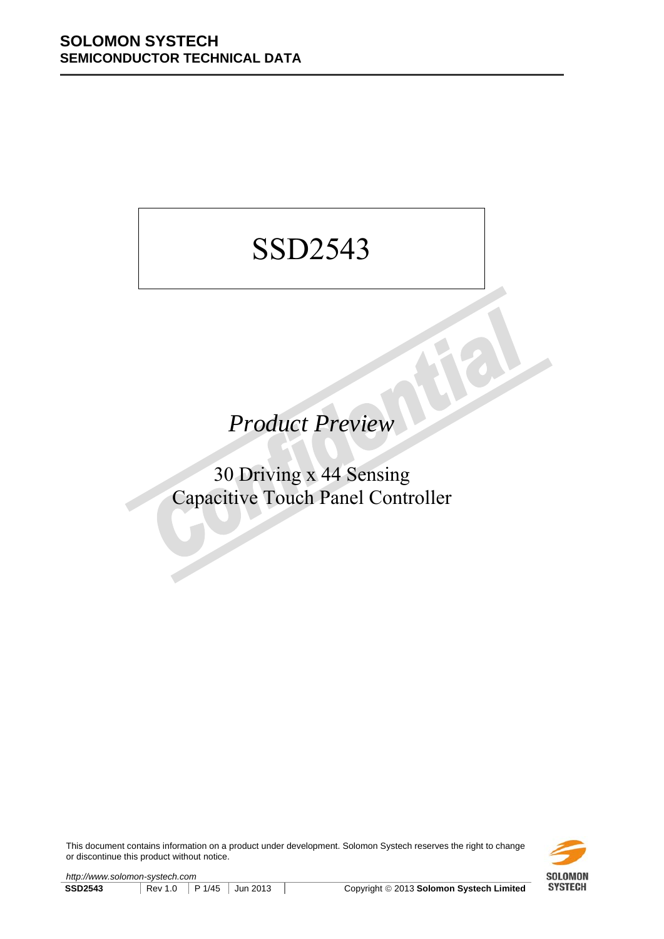# SSD2543

*Product Preview* 

30 Driving x 44 Sensing Capacitive Touch Panel Controller

This document contains information on a product under development. Solomon Systech reserves the right to change or discontinue this product without notice.

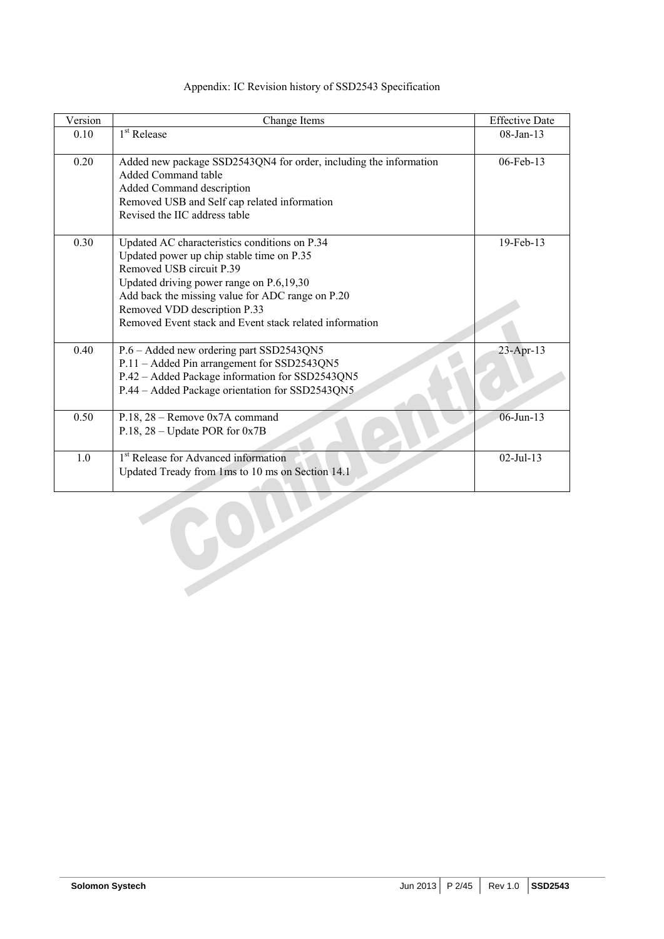| Version  | Change Items                                                                                                                                                                                                                                                                                                      | <b>Effective Date</b> |
|----------|-------------------------------------------------------------------------------------------------------------------------------------------------------------------------------------------------------------------------------------------------------------------------------------------------------------------|-----------------------|
| $0.10\,$ | 1 <sup>st</sup> Release                                                                                                                                                                                                                                                                                           | 08-Jan-13             |
| 0.20     | Added new package SSD2543QN4 for order, including the information<br>Added Command table<br>Added Command description<br>Removed USB and Self cap related information<br>Revised the IIC address table                                                                                                            | 06-Feb-13             |
| 0.30     | Updated AC characteristics conditions on P.34<br>Updated power up chip stable time on P.35<br>Removed USB circuit P.39<br>Updated driving power range on P.6,19,30<br>Add back the missing value for ADC range on P.20<br>Removed VDD description P.33<br>Removed Event stack and Event stack related information | 19-Feb-13             |
| 0.40     | P.6 - Added new ordering part SSD2543QN5<br>P.11 – Added Pin arrangement for SSD2543QN5<br>P.42 - Added Package information for SSD2543QN5<br>P.44 – Added Package orientation for SSD2543QN5                                                                                                                     | $23 - Apr - 13$       |
| 0.50     | P.18, $28$ – Remove 0x7A command<br>P.18, $28 -$ Update POR for 0x7B                                                                                                                                                                                                                                              | 06-Jun-13             |
| 1.0      | 1 <sup>st</sup> Release for Advanced information<br>Updated Tready from 1ms to 10 ms on Section 14.1                                                                                                                                                                                                              | $02-Jul-13$           |
|          |                                                                                                                                                                                                                                                                                                                   |                       |

## Appendix: IC Revision history of SSD2543 Specification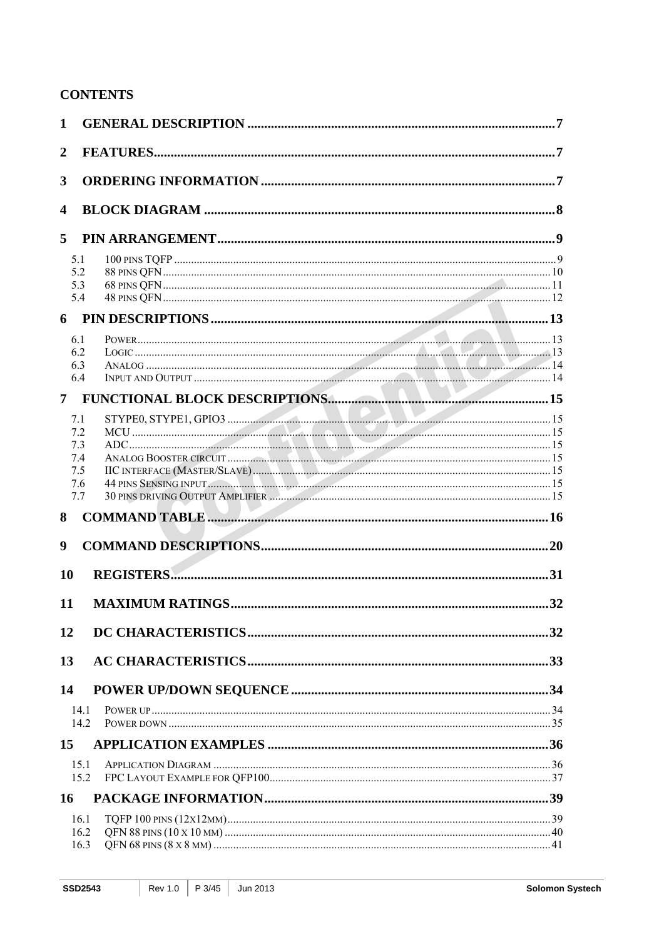## **CONTENTS**

| $\mathbf{1}$     |                              |  |
|------------------|------------------------------|--|
| $\overline{2}$   |                              |  |
| 3                |                              |  |
|                  |                              |  |
| $\boldsymbol{4}$ |                              |  |
| 5                |                              |  |
|                  | 5.1                          |  |
|                  | 5.2                          |  |
|                  | 5.3<br>5.4                   |  |
|                  |                              |  |
|                  | 6.1                          |  |
|                  | 6.2                          |  |
|                  | 6.3                          |  |
|                  | 6.4                          |  |
| 7 <sup>7</sup>   |                              |  |
|                  | 7.1                          |  |
|                  | 7.2                          |  |
|                  | 7.3                          |  |
|                  | 7.4<br>7.5                   |  |
|                  | 44 PINS SENSING INPUT<br>7.6 |  |
|                  | 7.7                          |  |
| 8                |                              |  |
|                  |                              |  |
| 9                |                              |  |
| 10               |                              |  |
|                  |                              |  |
| 11               |                              |  |
| 12               |                              |  |
|                  |                              |  |
| 13               |                              |  |
| 14               |                              |  |
|                  | 14.1                         |  |
|                  | 14.2                         |  |
| 15               |                              |  |
|                  | 15.1                         |  |
|                  | 15.2                         |  |
| 16               |                              |  |
|                  | 16.1                         |  |
|                  | 16.2                         |  |
|                  | 16.3                         |  |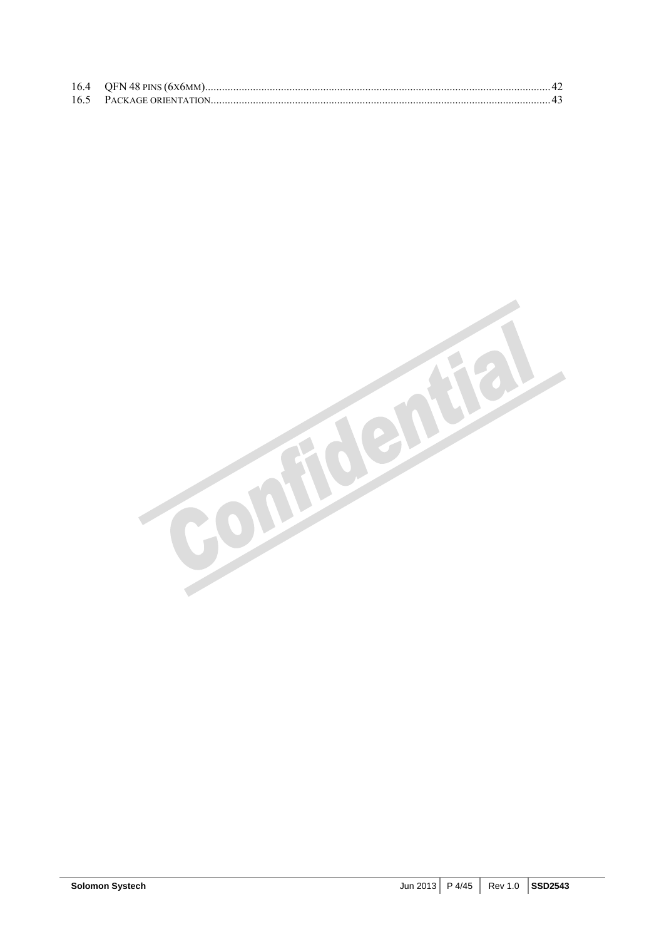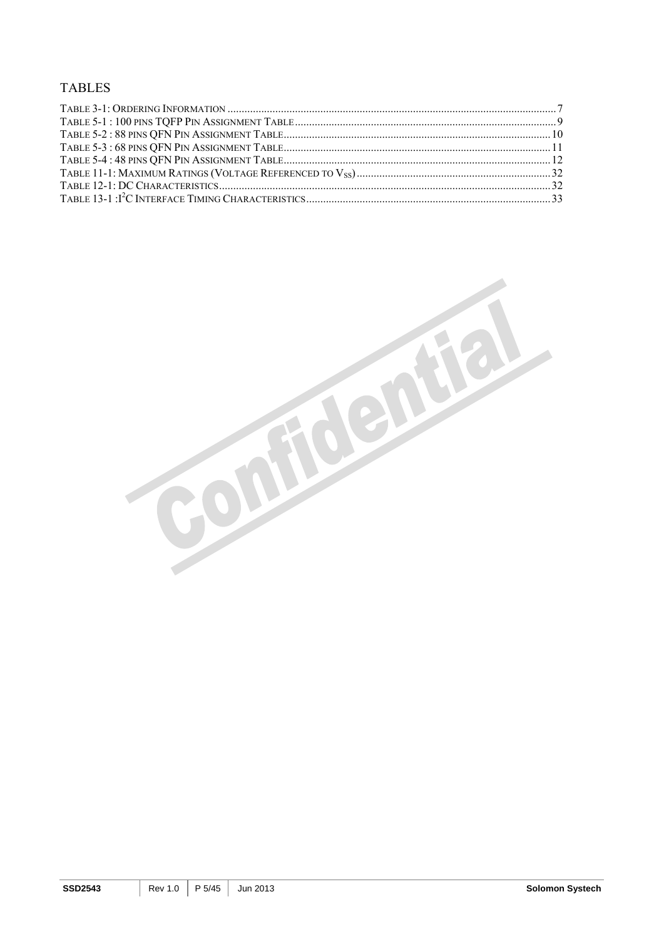### **TABLES**

Foentie

50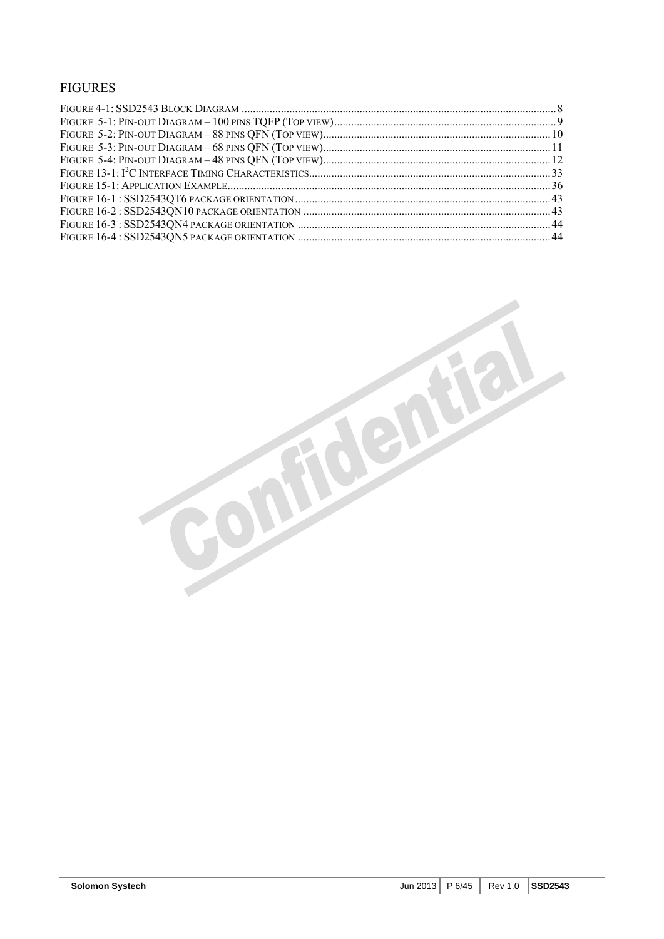## FIGURES

confidentiel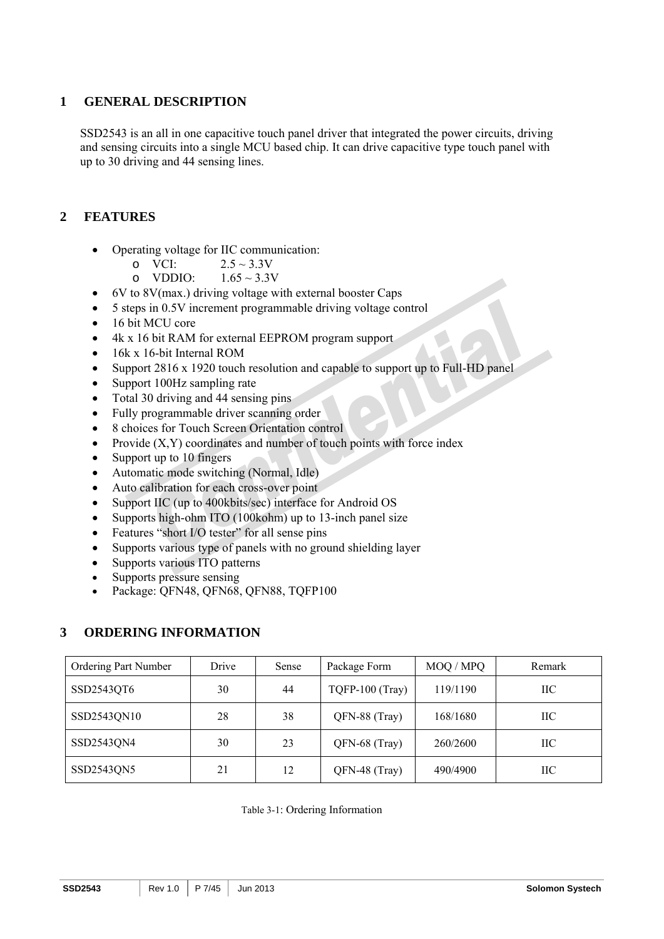## **1 GENERAL DESCRIPTION**

SSD2543 is an all in one capacitive touch panel driver that integrated the power circuits, driving and sensing circuits into a single MCU based chip. It can drive capacitive type touch panel with up to 30 driving and 44 sensing lines.

## **2 FEATURES**

- Operating voltage for IIC communication:
	- o VCI:  $2.5 \sim 3.3V$
	- o VDDIO:  $1.65 \approx 3.3V$
- 6V to 8V(max.) driving voltage with external booster Caps
- 5 steps in 0.5V increment programmable driving voltage control
- 16 bit MCU core
- 4k x 16 bit RAM for external EEPROM program support
- 16k x 16-bit Internal ROM
- Support 2816 x 1920 touch resolution and capable to support up to Full-HD panel
- Support 100Hz sampling rate
- Total 30 driving and 44 sensing pins
- Fully programmable driver scanning order
- 8 choices for Touch Screen Orientation control
- Provide  $(X, Y)$  coordinates and number of touch points with force index
- Support up to 10 fingers
- Automatic mode switching (Normal, Idle)
- Auto calibration for each cross-over point
- Support IIC (up to 400kbits/sec) interface for Android OS
- Supports high-ohm ITO (100kohm) up to 13-inch panel size
- Features "short I/O tester" for all sense pins
- Supports various type of panels with no ground shielding layer
- Supports various ITO patterns
- Supports pressure sensing
- Package: QFN48, QFN68, QFN88, TQFP100

### **3 ORDERING INFORMATION**

| Ordering Part Number | Drive | Sense | Package Form    | MOQ / MPQ | Remark |
|----------------------|-------|-------|-----------------|-----------|--------|
| SSD2543QT6           | 30    | 44    | TQFP-100 (Tray) | 119/1190  | IIС    |
| SSD2543QN10          | 28    | 38    | QFN-88 (Tray)   | 168/1680  | IІС    |
| SSD2543QN4           | 30    | 23    | QFN-68 (Tray)   | 260/2600  | IIС    |
| SSD2543QN5           | 21    | 12    | QFN-48 (Tray)   | 490/4900  | IIС    |

| Table 3-1: Ordering Information |  |
|---------------------------------|--|
|---------------------------------|--|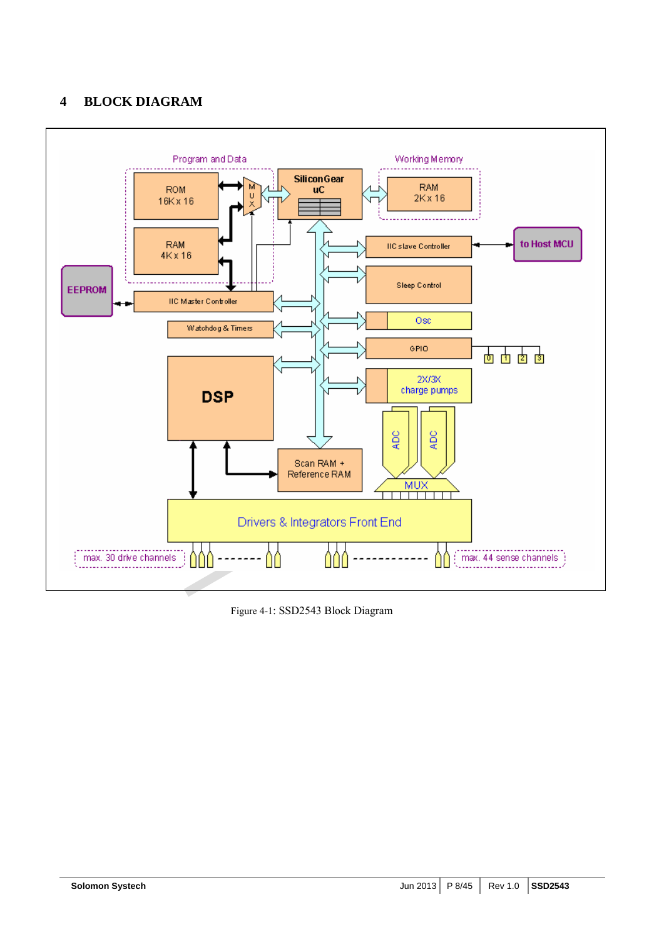## **4 BLOCK DIAGRAM**



Figure 4-1: SSD2543 Block Diagram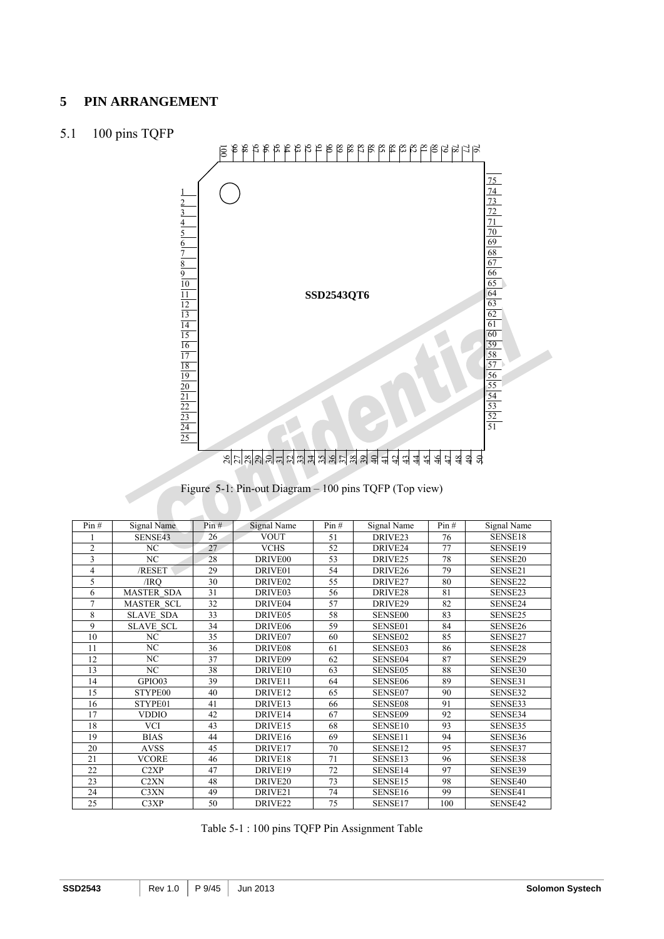### **PIN ARRANGEMENT**

## 5.1 100 pins TQFP



## Figure 5-1: Pin-out Diagram – 100 pins TQFP (Top view)

| Pin#           | Signal Name                   | Pin# | Signal Name         | Pin# | Signal Name         | Pin# | Signal Name |
|----------------|-------------------------------|------|---------------------|------|---------------------|------|-------------|
|                | SENSE43                       | 26   | <b>VOUT</b>         | 51   | DRIVE <sub>23</sub> | 76   | SENSE18     |
| $\overline{c}$ | NC                            | 27   | <b>VCHS</b>         | 52   | DRIVE24             | 77   | SENSE19     |
| 3              | N <sub>C</sub>                | 28   | DRIVE <sub>00</sub> | 53   | DRIVE <sub>25</sub> | 78   | SENSE20     |
| 4              | /RESET                        | 29   | DRIVE01             | 54   | DRIVE <sub>26</sub> | 79   | SENSE21     |
| 5              | /IRO                          | 30   | DRIVE <sub>02</sub> | 55   | DRIVE27             | 80   | SENSE22     |
| 6              | <b>MASTER SDA</b>             | 31   | DRIVE03             | 56   | DRIVE <sub>28</sub> | 81   | SENSE23     |
| $\overline{7}$ | <b>MASTER SCL</b>             | 32   | DRIVE04             | 57   | DRIVE <sub>29</sub> | 82   | SENSE24     |
| 8              | <b>SLAVE SDA</b>              | 33   | DRIVE05             | 58   | <b>SENSE00</b>      | 83   | SENSE25     |
| 9              | <b>SLAVE SCL</b>              | 34   | DRIVE <sub>06</sub> | 59   | SENSE01             | 84   | SENSE26     |
| 10             | NC                            | 35   | DRIVE07             | 60   | SENSE02             | 85   | SENSE27     |
| 11             | NC                            | 36   | DRIVE08             | 61   | SENSE03             | 86   | SENSE28     |
| 12             | NC                            | 37   | DRIVE09             | 62   | SENSE04             | 87   | SENSE29     |
| 13             | NC                            | 38   | DRIVE10             | 63   | SENSE05             | 88   | SENSE30     |
| 14             | GPIO03                        | 39   | DRIVE11             | 64   | SENSE06             | 89   | SENSE31     |
| 15             | STYPE00                       | 40   | DRIVE <sub>12</sub> | 65   | SENSE07             | 90   | SENSE32     |
| 16             | STYPE01                       | 41   | DRIVE13             | 66   | SENSE08             | 91   | SENSE33     |
| 17             | <b>VDDIO</b>                  | 42   | DRIVE14             | 67   | <b>SENSE09</b>      | 92   | SENSE34     |
| 18             | <b>VCI</b>                    | 43   | DRIVE15             | 68   | SENSE10             | 93   | SENSE35     |
| 19             | <b>BIAS</b>                   | 44   | DRIVE16             | 69   | SENSE11             | 94   | SENSE36     |
| 20             | <b>AVSS</b>                   | 45   | DRIVE17             | 70   | SENSE12             | 95   | SENSE37     |
| 21             | <b>VCORE</b>                  | 46   | DRIVE18             | 71   | SENSE13             | 96   | SENSE38     |
| 22             | C2XP                          | 47   | DRIVE19             | 72   | SENSE14             | 97   | SENSE39     |
| 23             | C <sub>2</sub> X <sub>N</sub> | 48   | DRIVE <sub>20</sub> | 73   | SENSE15             | 98   | SENSE40     |
| 24             | C3XN                          | 49   | DRIVE <sub>21</sub> | 74   | SENSE16             | 99   | SENSE41     |
| 25             | C3XP                          | 50   | DRIVE <sub>22</sub> | 75   | SENSE17             | 100  | SENSE42     |

|  | Table 5-1 : 100 pins TQFP Pin Assignment Table |  |
|--|------------------------------------------------|--|
|  |                                                |  |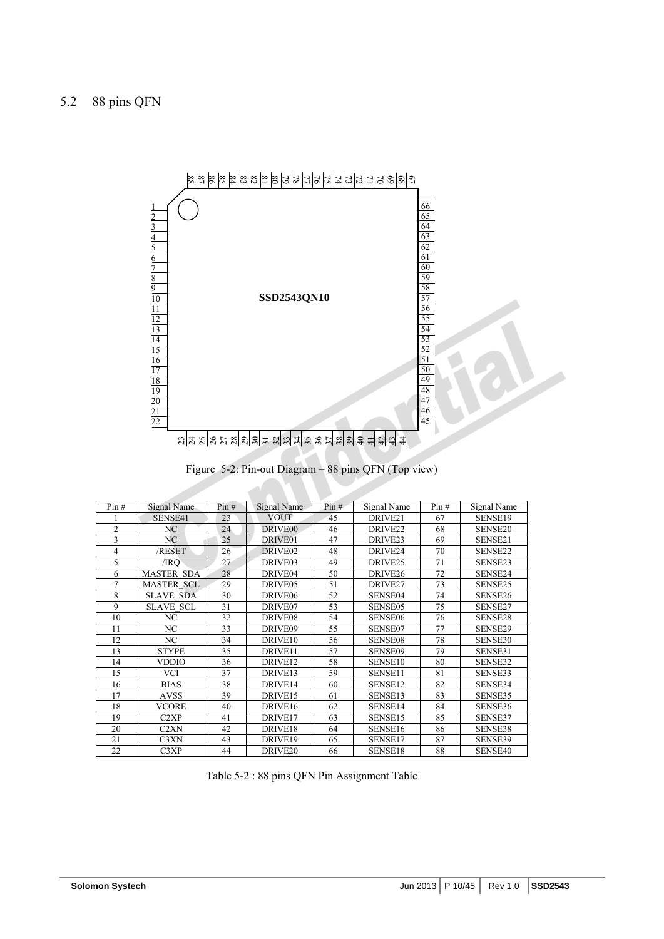

Figure 5-2: Pin-out Diagram – 88 pins QFN (Top view)

| Pin#           | Signal Name       | Pin# | Signal Name         | Pin# | Signal Name         | Pin# | Signal Name |
|----------------|-------------------|------|---------------------|------|---------------------|------|-------------|
|                | SENSE41           | 23   | <b>VOUT</b>         | 45   | DRIVE21             | 67   | SENSE19     |
| $\overline{c}$ | NC                | 24   | DRIVE <sub>00</sub> | 46   | DRIVE <sub>22</sub> | 68   | SENSE20     |
| 3              | NC                | 25   | DRIVE01             | 47   | DRIVE23             | 69   | SENSE21     |
| 4              | /RESET            | 26   | DRIVE <sub>02</sub> | 48   | DRIVE24             | 70   | SENSE22     |
| 5              | /IRO              | 27   | DRIVE03             | 49   | DRIVE <sub>25</sub> | 71   | SENSE23     |
| 6              | <b>MASTER SDA</b> | 28   | DRIVE04             | 50   | DRIVE <sub>26</sub> | 72   | SENSE24     |
| 7              | <b>MASTER SCL</b> | 29   | DRIVE05             | 51   | DRIVE <sub>27</sub> | 73   | SENSE25     |
| 8              | <b>SLAVE SDA</b>  | 30   | DRIVE <sub>06</sub> | 52   | SENSE04             | 74   | SENSE26     |
| 9              | <b>SLAVE SCL</b>  | 31   | DRIVE07             | 53   | SENSE05             | 75   | SENSE27     |
| 10             | NC                | 32   | DRIVE08             | 54   | SENSE <sub>06</sub> | 76   | SENSE28     |
| 11             | NC                | 33   | DRIVE09             | 55   | SENSE07             | 77   | SENSE29     |
| 12             | N <sub>C</sub>    | 34   | DRIVE10             | 56   | <b>SENSE08</b>      | 78   | SENSE30     |
| 13             | <b>STYPE</b>      | 35   | DRIVE11             | 57   | <b>SENSE09</b>      | 79   | SENSE31     |
| 14             | <b>VDDIO</b>      | 36   | DRIVE12             | 58   | SENSE <sub>10</sub> | 80   | SENSE32     |
| 15             | <b>VCI</b>        | 37   | DRIVE13             | 59   | SENSE11             | 81   | SENSE33     |
| 16             | <b>BIAS</b>       | 38   | DRIVE14             | 60   | SENSE12             | 82   | SENSE34     |
| 17             | <b>AVSS</b>       | 39   | DRIVE15             | 61   | SENSE13             | 83   | SENSE35     |
| 18             | <b>VCORE</b>      | 40   | DRIVE16             | 62   | SENSE14             | 84   | SENSE36     |
| 19             | C <sub>2</sub> XP | 41   | DRIVE17             | 63   | SENSE15             | 85   | SENSE37     |
| 20             | C <sub>2</sub> XN | 42   | DRIVE18             | 64   | SENSE16             | 86   | SENSE38     |
| 21             | C3XN              | 43   | DRIVE19             | 65   | SENSE17             | 87   | SENSE39     |
| 22             | C3XP              | 44   | DRIVE <sub>20</sub> | 66   | SENSE18             | 88   | SENSE40     |

Table 5-2 : 88 pins QFN Pin Assignment Table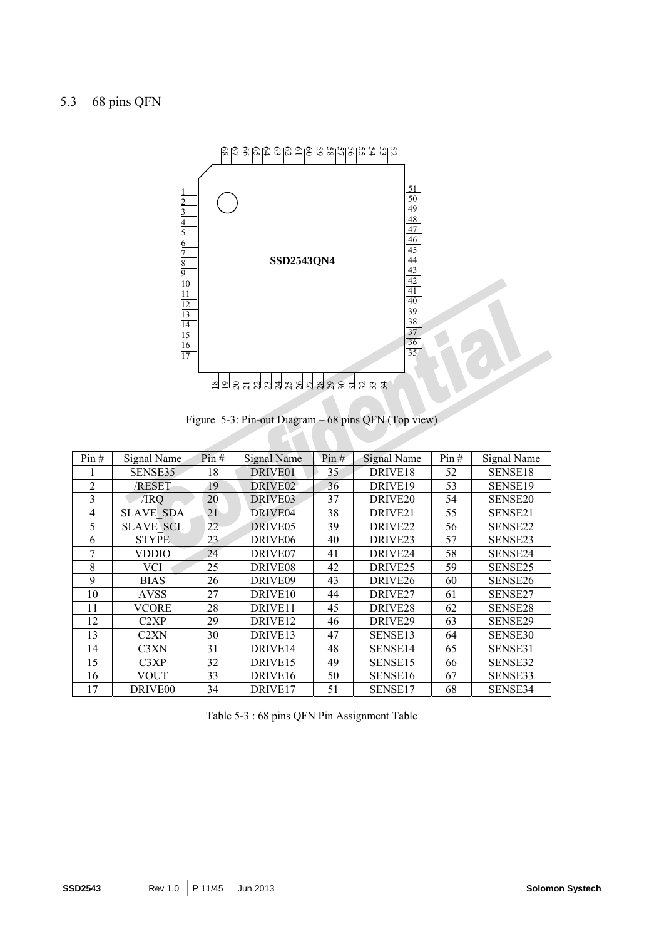

Figure 5-3: Pin-out Diagram – 68 pins QFN (Top view)

| Pin# | Signal Name                   | Pin# | <b>Signal Name</b>  | Pin# | <b>Signal Name</b>  | Pin# | Signal Name         |
|------|-------------------------------|------|---------------------|------|---------------------|------|---------------------|
|      | SENSE35                       | 18   | DRIVE <sub>01</sub> | 35   | DRIVE <sub>18</sub> | 52   | SENSE18             |
| 2    | /RESET                        | 19   | DRIVE02             | 36   | DRIVE <sub>19</sub> | 53   | SENSE <sub>19</sub> |
| 3    | /IRO                          | 20   | DRIVE <sub>03</sub> | 37   | DRIVE <sub>20</sub> | 54   | SENSE <sub>20</sub> |
| 4    | <b>SLAVE SDA</b>              | 21   | DRIVE <sub>04</sub> | 38   | DRIVE <sub>21</sub> | 55   | SENSE21             |
| 5    | <b>SLAVE SCL</b>              | 22   | DRIVE <sub>05</sub> | 39   | DRIVE <sub>22</sub> | 56   | SENSE22             |
| 6    | <b>STYPE</b>                  | 23   | DRIVE <sub>06</sub> | 40   | DRIVE <sub>23</sub> | 57   | SENSE23             |
| 7    | VDDIO                         | 24   | DRIVE <sub>07</sub> | 41   | DRIVE <sub>24</sub> | 58   | SENSE24             |
| 8    | <b>VCI</b>                    | 25   | DRIVE <sub>08</sub> | 42   | DRIVE <sub>25</sub> | 59   | SENSE <sub>25</sub> |
| 9    | <b>BIAS</b>                   | 26   | DRIVE <sub>09</sub> | 43   | DRIVE <sub>26</sub> | 60   | SENSE26             |
| 10   | <b>AVSS</b>                   | 27   | DRIVE <sub>10</sub> | 44   | DRIVE <sub>27</sub> | 61   | SENSE27             |
| 11   | VCORE                         | 28   | DRIVE <sub>11</sub> | 45   | DRIVE <sub>28</sub> | 62   | SENSE <sub>28</sub> |
| 12   | C <sub>2</sub> XP             | 29   | DRIVE <sub>12</sub> | 46   | DRIVE <sub>29</sub> | 63   | SENSE29             |
| 13   | C <sub>2</sub> X <sub>N</sub> | 30   | DRIVE <sub>13</sub> | 47   | SENSE <sub>13</sub> | 64   | SENSE30             |
| 14   | C3XN                          | 31   | DRIVE <sub>14</sub> | 48   | SENSE <sub>14</sub> | 65   | SENSE31             |
| 15   | C3XP                          | 32   | DRIVE <sub>15</sub> | 49   | SENSE <sub>15</sub> | 66   | SENSE32             |
| 16   | VOUT                          | 33   | DRIVE <sub>16</sub> | 50   | SENSE <sub>16</sub> | 67   | SENSE33             |
| 17   | DRIVE <sub>00</sub>           | 34   | DRIVE <sub>17</sub> | 51   | SENSE17             | 68   | SENSE34             |

|  |  | Table 5-3 : 68 pins QFN Pin Assignment Table |
|--|--|----------------------------------------------|
|--|--|----------------------------------------------|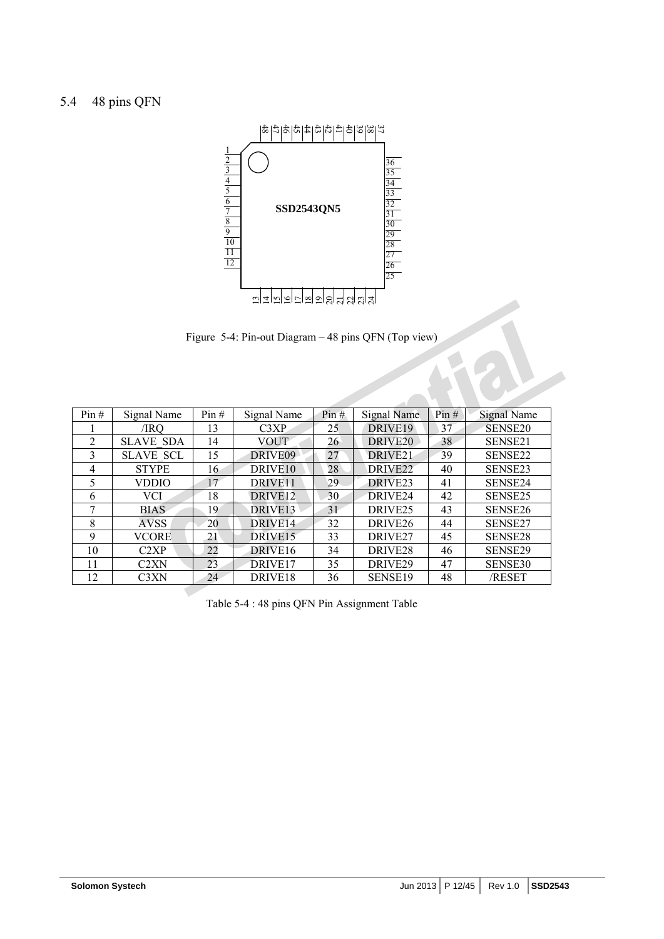

Figure 5-4: Pin-out Diagram – 48 pins QFN (Top view)

| 피피리히라리히라의의해하와            |                                                      |      |                                              |      |                     |      |                     |  |  |  |  |  |
|--------------------------|------------------------------------------------------|------|----------------------------------------------|------|---------------------|------|---------------------|--|--|--|--|--|
|                          |                                                      |      |                                              |      |                     |      |                     |  |  |  |  |  |
|                          | Figure 5-4: Pin-out Diagram - 48 pins QFN (Top view) |      |                                              |      |                     |      |                     |  |  |  |  |  |
|                          |                                                      |      |                                              |      |                     |      |                     |  |  |  |  |  |
|                          |                                                      |      |                                              |      |                     |      |                     |  |  |  |  |  |
|                          |                                                      |      |                                              |      |                     |      |                     |  |  |  |  |  |
|                          |                                                      |      |                                              |      |                     |      |                     |  |  |  |  |  |
| Pin#                     | Signal Name                                          | Pin# | Signal Name                                  | Pin# | Signal Name         | Pin# | <b>Signal Name</b>  |  |  |  |  |  |
|                          | /IRQ                                                 | 13   | C3XP                                         | 25   | DRIVE19             | 37   | SENSE <sub>20</sub> |  |  |  |  |  |
| $\overline{2}$           | <b>SLAVE SDA</b>                                     | 14   | VOUT                                         | 26   | DRIVE <sub>20</sub> | 38   | SENSE21             |  |  |  |  |  |
| 3                        | <b>SLAVE SCL</b>                                     | 15   | DRIVE09                                      | 27   | DRIVE <sub>21</sub> | 39   | SENSE22             |  |  |  |  |  |
| $\overline{\mathcal{A}}$ | <b>STYPE</b>                                         | 16   | DRIVE <sub>10</sub>                          | 28   | DRIVE <sub>22</sub> | 40   | SENSE23             |  |  |  |  |  |
| 5                        | VDDIO                                                | 17   | DRIVE <sub>11</sub>                          | 29   | DRIVE <sub>23</sub> | 41   | SENSE24             |  |  |  |  |  |
| 6                        | <b>VCI</b>                                           | 18   | DRIVE <sub>12</sub>                          | 30   | DRIVE24             | 42   | SENSE25             |  |  |  |  |  |
| 7                        | BIAS                                                 | 19   | DRIVE <sub>13</sub>                          | 31   | DRIVE <sub>25</sub> | 43   | SENSE <sub>26</sub> |  |  |  |  |  |
| 8                        | <b>AVSS</b>                                          | 20   | DRIVE <sub>14</sub>                          | 32   | DRIVE <sub>26</sub> | 44   | SENSE27             |  |  |  |  |  |
| 9                        | VCORE                                                | 21   | DRIVE <sub>15</sub>                          | 33   | DRIVE <sub>27</sub> | 45   | SENSE28             |  |  |  |  |  |
| 10                       | C2XP                                                 | 22   | DRIVE <sub>16</sub>                          | 34   | DRIVE <sub>28</sub> | 46   | SENSE29             |  |  |  |  |  |
| 11                       | C2XN                                                 | 23   | DRIVE <sub>17</sub>                          | 35   | DRIVE29             | 47   | SENSE30             |  |  |  |  |  |
| 12                       | C3XN                                                 | 24   | DRIVE <sub>18</sub>                          | 36   | SENSE19             | 48   | /RESET              |  |  |  |  |  |
|                          |                                                      |      |                                              |      |                     |      |                     |  |  |  |  |  |
|                          |                                                      |      | Table 5-4 : 48 pins QFN Pin Assignment Table |      |                     |      |                     |  |  |  |  |  |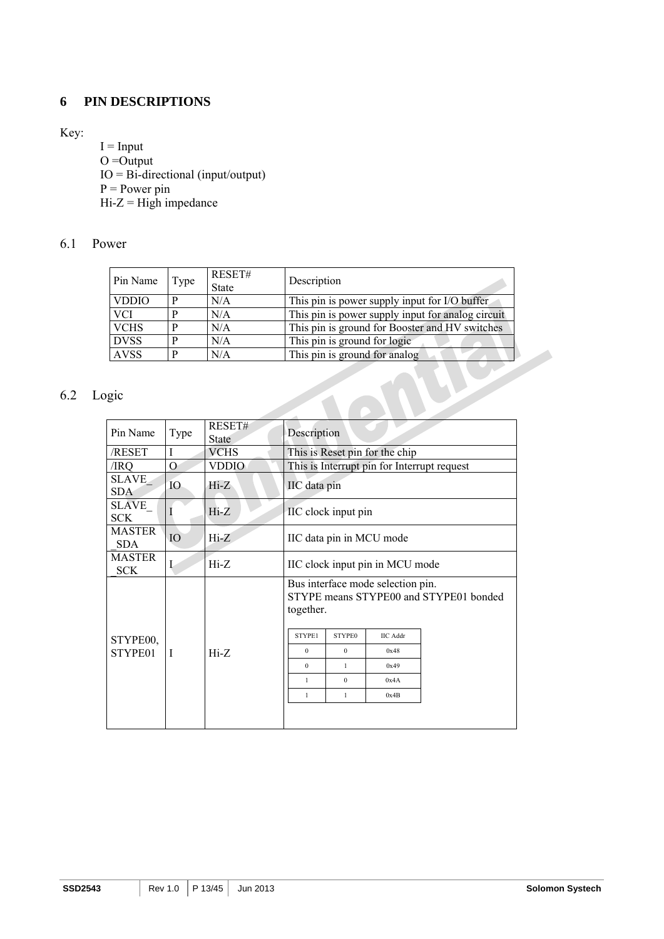### **6 PIN DESCRIPTIONS**

#### Key:

 $I = Input$  $O =$ Output IO = Bi-directional (input/output)  $P = Power \text{pin}$  $Hi-Z = High impedance$ 

#### 6.1 Power

| Pin Name     | Type | RESET#<br><b>State</b> | Description                                       |
|--------------|------|------------------------|---------------------------------------------------|
| <b>VDDIO</b> | P    | N/A                    | This pin is power supply input for I/O buffer     |
| <b>VCI</b>   | P    | N/A                    | This pin is power supply input for analog circuit |
| <b>VCHS</b>  | P    | N/A                    | This pin is ground for Booster and HV switches    |
| <b>DVSS</b>  | D    | N/A                    | This pin is ground for logic                      |
| <b>AVSS</b>  | P    | N/A                    | This pin is ground for analog                     |

### 6.2 Logic

| Pin Name                    | Type            | RESET#<br><b>State</b> | Description         |                                |                                             |                                        |  |  |  |  |
|-----------------------------|-----------------|------------------------|---------------------|--------------------------------|---------------------------------------------|----------------------------------------|--|--|--|--|
| /RESET                      | T               | <b>VCHS</b>            |                     | This is Reset pin for the chip |                                             |                                        |  |  |  |  |
| /IRQ                        | О               | <b>VDDIO</b>           |                     |                                | This is Interrupt pin for Interrupt request |                                        |  |  |  |  |
| <b>SLAVE</b><br>SDA         | IO <sub>1</sub> | $Hi-Z$                 | IIC data pin        |                                |                                             |                                        |  |  |  |  |
| SLAVE<br><b>SCK</b>         |                 | $Hi-Z$                 | IIC clock input pin |                                |                                             |                                        |  |  |  |  |
| <b>MASTER</b><br><b>SDA</b> | IO              | $Hi-Z$                 |                     |                                | IIC data pin in MCU mode                    |                                        |  |  |  |  |
| <b>MASTER</b><br><b>SCK</b> | L               | $Hi-Z$                 |                     |                                | IIC clock input pin in MCU mode             |                                        |  |  |  |  |
|                             |                 |                        | together.           |                                | Bus interface mode selection pin.           | STYPE means STYPE00 and STYPE01 bonded |  |  |  |  |
| STYPE00,                    |                 |                        | STYPE1              | <b>STYPE0</b>                  | <b>IIC</b> Addr                             |                                        |  |  |  |  |
| STYPE01                     | T               | $Hi-Z$                 | $\theta$            | $\mathbf{0}$                   | 0x48                                        |                                        |  |  |  |  |
|                             |                 |                        | $\Omega$            | $\mathbf{1}$                   | 0x49                                        |                                        |  |  |  |  |
|                             |                 |                        | 1                   | $\Omega$                       | 0x4A                                        |                                        |  |  |  |  |
|                             |                 |                        | $\mathbf{1}$        | $\mathbf{1}$                   | 0x4B                                        |                                        |  |  |  |  |
|                             |                 |                        |                     |                                |                                             |                                        |  |  |  |  |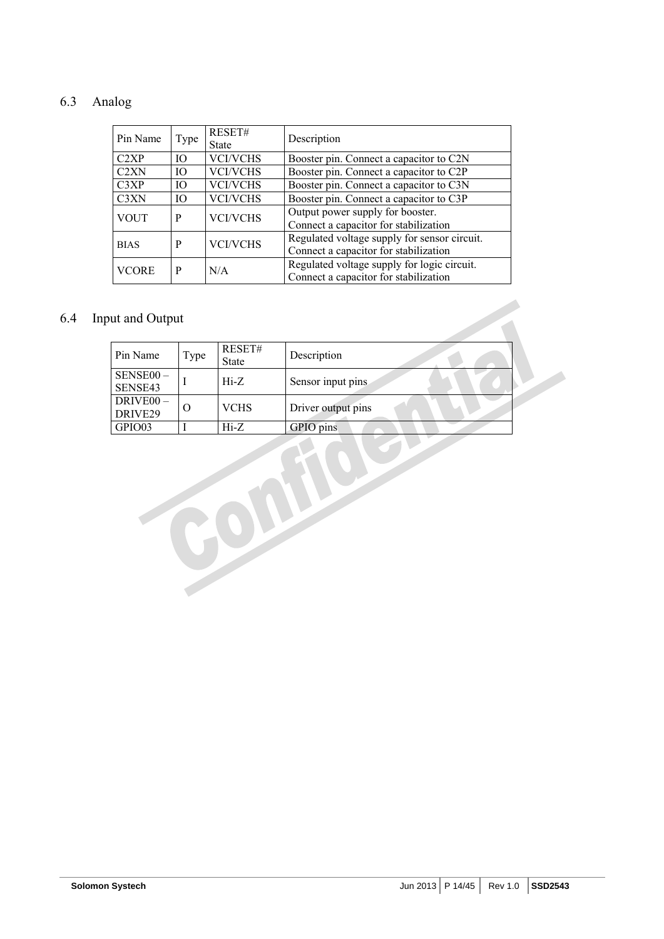## 6.3 Analog

| Pin Name                      | Type | RESET#<br><b>State</b> | Description                                                                           |
|-------------------------------|------|------------------------|---------------------------------------------------------------------------------------|
| C2XP                          | IO   | <b>VCI/VCHS</b>        | Booster pin. Connect a capacitor to C2N                                               |
| C2XN                          | IO   | <b>VCI/VCHS</b>        | Booster pin. Connect a capacitor to C2P                                               |
| C3XP                          | IO.  | <b>VCI/VCHS</b>        | Booster pin. Connect a capacitor to C3N                                               |
| C <sub>3</sub> X <sub>N</sub> | IO   | <b>VCI/VCHS</b>        | Booster pin. Connect a capacitor to C3P                                               |
| <b>VOUT</b>                   | P    | <b>VCI/VCHS</b>        | Output power supply for booster.<br>Connect a capacitor for stabilization             |
| <b>BIAS</b>                   | P    | <b>VCI/VCHS</b>        | Regulated voltage supply for sensor circuit.<br>Connect a capacitor for stabilization |
| VCORE                         | P    | N/A                    | Regulated voltage supply for logic circuit.<br>Connect a capacitor for stabilization  |

## 6.4 Input and Output

| ut and Output                    |      |                        |                    |  |
|----------------------------------|------|------------------------|--------------------|--|
| Pin Name                         | Type | RESET#<br><b>State</b> | Description        |  |
| SENSE00-<br>SENSE43              |      | $Hi-Z$                 | Sensor input pins  |  |
| DRIVE <sub>00</sub> -<br>DRIVE29 | O    | <b>VCHS</b>            | Driver output pins |  |
| GPIO03                           |      | $Hi-Z$                 | GPIO pins          |  |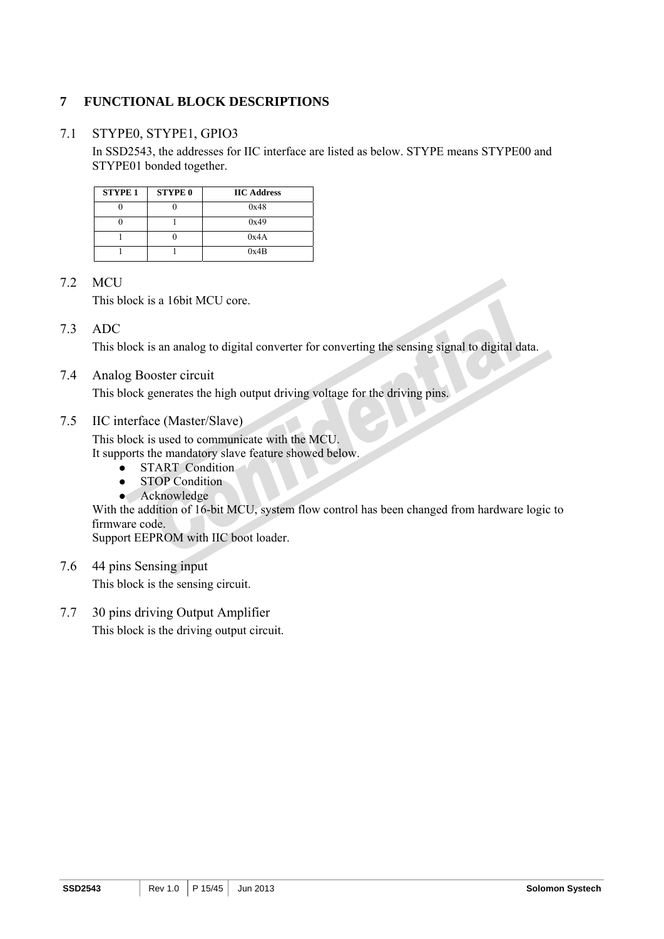## **7 FUNCTIONAL BLOCK DESCRIPTIONS**

### 7.1 STYPE0, STYPE1, GPIO3

In SSD2543, the addresses for IIC interface are listed as below. STYPE means STYPE00 and STYPE01 bonded together.

| <b>STYPE 1</b> | <b>STYPE 0</b> | <b>IIC Address</b> |
|----------------|----------------|--------------------|
|                |                | 0x48               |
|                |                | 0x49               |
|                |                | 0x4A               |
|                |                | 0x4B               |

### 7.2 MCU

This block is a 16bit MCU core.

### 7.3 ADC

This block is an analog to digital converter for converting the sensing signal to digital data.

#### 7.4 Analog Booster circuit

This block generates the high output driving voltage for the driving pins.

#### 7.5 IIC interface (Master/Slave)

This block is used to communicate with the MCU.

It supports the mandatory slave feature showed below.

- START Condition
- STOP Condition
- Acknowledge

With the addition of 16-bit MCU, system flow control has been changed from hardware logic to firmware code.

Support EEPROM with IIC boot loader.

- 7.6 44 pins Sensing input This block is the sensing circuit.
- 7.7 30 pins driving Output Amplifier This block is the driving output circuit.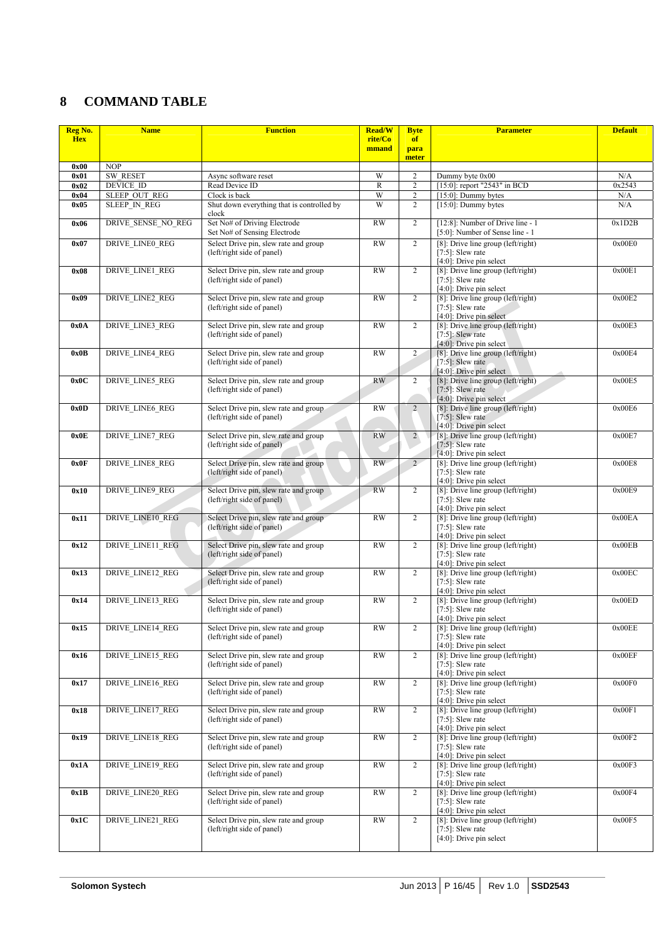## **8 COMMAND TABLE**

| Reg No.    | <b>Name</b>             | <b>Function</b><br><b>Read/W</b>                                    |                  | <b>Byte</b>    | <b>Parameter</b>                                                                              | <b>Default</b> |
|------------|-------------------------|---------------------------------------------------------------------|------------------|----------------|-----------------------------------------------------------------------------------------------|----------------|
| <b>Hex</b> |                         |                                                                     | rite/Co<br>mmand | of<br>para     |                                                                                               |                |
| 0x00       | <b>NOP</b>              |                                                                     |                  | meter          |                                                                                               |                |
| 0x01       | <b>SW RESET</b>         | Async software reset                                                | W                | 2              | Dummy byte 0x00                                                                               | N/A            |
| 0x02       | DEVICE ID               | Read Device ID                                                      | $\mathbb{R}$     | $\overline{c}$ | [15:0]: report "2543" in BCD                                                                  | 0x2543         |
| 0x04       | SLEEP OUT REG           | Clock is back                                                       | W                | $\overline{c}$ | $[15:0]$ : Dummy bytes                                                                        | N/A            |
| 0x05       | <b>SLEEP IN REG</b>     | Shut down everything that is controlled by<br>clock                 | W                | $\overline{2}$ | $[15:0]$ : Dummy bytes                                                                        | N/A            |
| 0x06       | DRIVE SENSE NO REG      | Set No# of Driving Electrode<br>Set No# of Sensing Electrode        | <b>RW</b>        | $\overline{2}$ | [12:8]: Number of Drive line - 1<br>[5:0]: Number of Sense line - 1                           | 0x1D2B         |
| 0x07       | <b>DRIVE LINE0 REG</b>  | Select Drive pin, slew rate and group<br>(left/right side of panel) | <b>RW</b>        | $\overline{2}$ | [8]: Drive line group $(\text{left/right})$<br>[7:5]: Slew rate<br>$[4:0]$ : Drive pin select | 0x00E0         |
| 0x08       | DRIVE LINE1 REG         | Select Drive pin, slew rate and group<br>(left/right side of panel) | <b>RW</b>        | 2              | [8]: Drive line group (left/right)<br>$[7:5]$ : Slew rate<br>[4:0]: Drive pin select          | 0x00E1         |
| 0x09       | <b>DRIVE LINE2 REG</b>  | Select Drive pin, slew rate and group<br>(left/right side of panel) | <b>RW</b>        | $\overline{c}$ | [8]: Drive line group (left/right)<br>$[7:5]$ : Slew rate<br>[4:0]: Drive pin select          | 0x00E2         |
| 0x0A       | <b>DRIVE LINE3 REG</b>  | Select Drive pin, slew rate and group<br>(left/right side of panel) | <b>RW</b>        | $\overline{c}$ | [8]: Drive line group (left/right)<br>$[7:5]$ : Slew rate<br>[4:0]: Drive pin select          | 0x00E3         |
| 0x0B       | <b>DRIVE LINE4 REG</b>  | Select Drive pin, slew rate and group<br>(left/right side of panel) | <b>RW</b>        | $\overline{2}$ | [8]: Drive line group (left/right)<br>$[7:5]$ : Slew rate<br>$[4:0]$ : Drive pin select       | 0x00E4         |
| 0x0C       | <b>DRIVE LINE5 REG</b>  | Select Drive pin, slew rate and group<br>(left/right side of panel) | RW               | $\overline{2}$ | [8]: Drive line group $(\text{left/right})$<br>$[7:5]$ : Slew rate<br>[4:0]: Drive pin select | 0x00E5         |
| 0x0D       | <b>DRIVE LINE6 REG</b>  | Select Drive pin, slew rate and group<br>(left/right side of panel) | <b>RW</b>        | $\overline{2}$ | [8]: Drive line group (left/right)<br>$[7:5]$ : Slew rate<br>[4:0]: Drive pin select          | 0x00E6         |
| 0x0E       | <b>DRIVE LINE7 REG</b>  | Select Drive pin, slew rate and group<br>(left/right side of panel) | <b>RW</b>        | $\overline{2}$ | [8]: Drive line group (left/right)<br>$[7:5]$ : Slew rate<br>[4:0]: Drive pin select          | 0x00E7         |
| 0x0F       | <b>DRIVE LINE8 REG</b>  | Select Drive pin, slew rate and group<br>(left/right side of panel) | <b>RW</b>        | $\overline{2}$ | [8]: Drive line group (left/right)<br>$[7:5]$ : Slew rate<br>$[4:0]$ : Drive pin select       | 0x00E8         |
| 0x10       | <b>DRIVE LINE9 REG</b>  | Select Drive pin, slew rate and group<br>(left/right side of panel) | <b>RW</b>        | $\overline{2}$ | [8]: Drive line group (left/right)<br>$[7:5]$ : Slew rate<br>$[4:0]$ : Drive pin select       | 0x00E9         |
| 0x11       | <b>DRIVE LINE10 REG</b> | Select Drive pin, slew rate and group<br>(left/right side of panel) | <b>RW</b>        | $\overline{2}$ | [8]: Drive line group (left/right)<br>$[7:5]$ : Slew rate<br>$[4:0]$ : Drive pin select       | 0x00EA         |
| 0x12       | DRIVE_LINE11_REG        | Select Drive pin, slew rate and group<br>(left/right side of panel) | <b>RW</b>        | $\overline{2}$ | [8]: Drive line group (left/right)<br>[ $7:5$ ]: Slew rate<br>$[4:0]$ : Drive pin select      | 0x00EB         |
| 0x13       | <b>DRIVE LINE12 REG</b> | Select Drive pin, slew rate and group<br>(left/right side of panel) | <b>RW</b>        | $\overline{2}$ | [8]: Drive line group ( $left/right$ )<br>$[7:5]$ : Slew rate<br>[4:0]: Drive pin select      | 0x00EC         |
| 0x14       | <b>DRIVE LINE13 REG</b> | Select Drive pin, slew rate and group<br>(left/right side of panel) | <b>RW</b>        | $\overline{2}$ | [8]: Drive line group ( $left/right$ )<br>$[7:5]$ : Slew rate<br>$[4:0]$ : Drive pin select   | 0x00ED         |
| 0x15       | <b>DRIVE LINE14 REG</b> | Select Drive pin, slew rate and group<br>(left/right side of panel) | <b>RW</b>        | $\overline{c}$ | [8]: Drive line group (left/right)<br>$[7:5]$ : Slew rate<br>$[4:0]$ : Drive pin select       | 0x00EE         |
| 0x16       | DRIVE LINE15 REG        | Select Drive pin, slew rate and group<br>(left/right side of panel) | <b>RW</b>        | $\overline{c}$ | [8]: Drive line group (left/right)<br>$[7:5]$ : Slew rate<br>[4:0]: Drive pin select          | 0x00EF         |
| 0x17       | <b>DRIVE LINE16 REG</b> | Select Drive pin, slew rate and group<br>(left/right side of panel) | <b>RW</b>        | 2              | [8]: Drive line group (left/right)<br>$[7:5]$ : Slew rate<br>[4:0]: Drive pin select          | 0x00F0         |
| 0x18       | <b>DRIVE LINE17 REG</b> | Select Drive pin, slew rate and group<br>(left/right side of panel) | <b>RW</b>        | $\overline{c}$ | $[8]$ : Drive line group (left/right)<br>$[7:5]$ : Slew rate<br>$[4:0]$ : Drive pin select    | 0x00F1         |
| 0x19       | <b>DRIVE LINE18 REG</b> | Select Drive pin, slew rate and group<br>(left/right side of panel) | <b>RW</b>        | $\overline{2}$ | [8]: Drive line group (left/right)<br>$[7:5]$ : Slew rate<br>$[4:0]$ : Drive pin select       | 0x00F2         |
| 0x1A       | DRIVE_LINE19_REG        | Select Drive pin, slew rate and group<br>(left/right side of panel) | RW               | $\overline{2}$ | [8]: Drive line group (left/right)<br>$[7:5]$ : Slew rate<br>[4:0]: Drive pin select          | 0x00F3         |
| 0x1B       | <b>DRIVE LINE20 REG</b> | Select Drive pin, slew rate and group<br>(left/right side of panel) | <b>RW</b>        | $\overline{2}$ | [8]: Drive line group (left/right)<br>$[7:5]$ : Slew rate<br>[4:0]: Drive pin select          | 0x00F4         |
| 0x1C       | DRIVE_LINE21_REG        | Select Drive pin, slew rate and group<br>(left/right side of panel) | RW               | $\overline{c}$ | [8]: Drive line group (left/right)<br>$[7:5]$ : Slew rate<br>$[4:0]$ : Drive pin select       | 0x00F5         |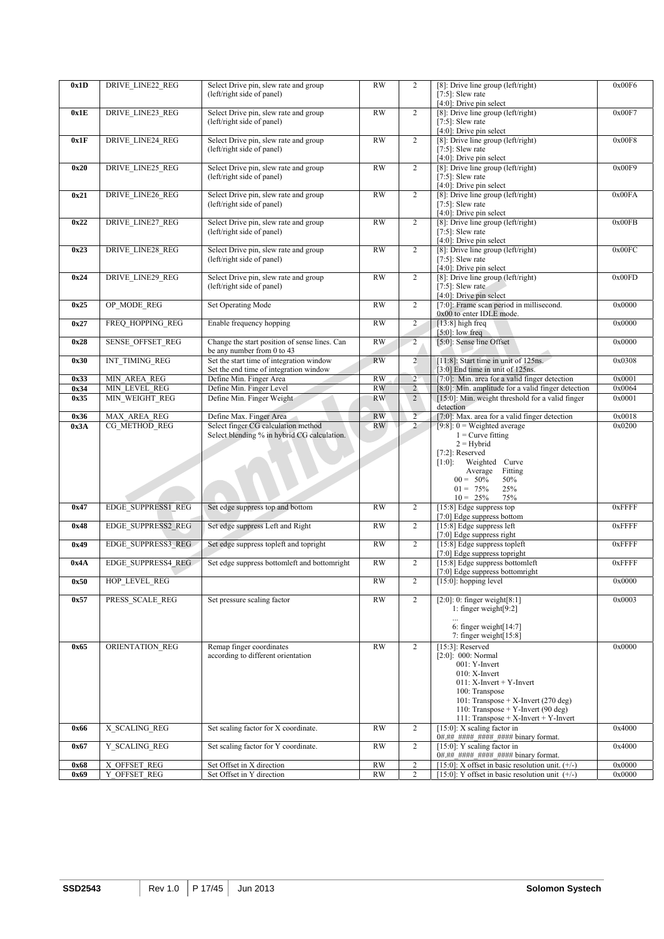| 0x1D | DRIVE_LINE22_REG             | Select Drive pin, slew rate and group<br>(left/right side of panel)                | <b>RW</b> | $\overline{2}$ | [8]: Drive line group (left/right)<br>$[7:5]$ : Slew rate<br>$[4:0]$ : Drive pin select                                                                                                                                                              | 0x00F6 |
|------|------------------------------|------------------------------------------------------------------------------------|-----------|----------------|------------------------------------------------------------------------------------------------------------------------------------------------------------------------------------------------------------------------------------------------------|--------|
| 0x1E | DRIVE_LINE23_REG             | Select Drive pin, slew rate and group<br>(left/right side of panel)                | <b>RW</b> | $\overline{2}$ | [8]: Drive line group (left/right)<br>$[7:5]$ : Slew rate<br>$[4:0]$ : Drive pin select                                                                                                                                                              | 0x00F7 |
| 0x1F | DRIVE_LINE24_REG             | Select Drive pin, slew rate and group<br>(left/right side of panel)                | RW        | $\overline{2}$ | [8]: Drive line group (left/right)<br>$[7:5]$ : Slew rate<br>[4:0]: Drive pin select                                                                                                                                                                 | 0x00F8 |
| 0x20 | <b>DRIVE LINE25 REG</b>      | Select Drive pin, slew rate and group<br>(left/right side of panel)                | RW        | $\overline{2}$ | [8]: Drive line group (left/right)<br>$[7:5]$ : Slew rate<br>[4:0]: Drive pin select                                                                                                                                                                 | 0x00F9 |
| 0x21 | <b>DRIVE LINE26 REG</b>      | Select Drive pin, slew rate and group<br>(left/right side of panel)                | RW        | $\overline{c}$ | [8]: Drive line group ( $left/right$ )<br>$[7:5]$ : Slew rate<br>$[4:0]$ : Drive pin select                                                                                                                                                          | 0x00FA |
| 0x22 | <b>DRIVE LINE27 REG</b>      | Select Drive pin, slew rate and group<br>(left/right side of panel)                | RW        | $\overline{2}$ | [8]: Drive line group (left/right)<br>$[7:5]$ : Slew rate<br>$[4:0]$ : Drive pin select                                                                                                                                                              | 0x00FB |
| 0x23 | <b>DRIVE LINE28 REG</b>      | Select Drive pin, slew rate and group<br>(left/right side of panel)                | <b>RW</b> | $\overline{2}$ | [8]: Drive line group ( $left/right$ )<br>$[7:5]$ : Slew rate<br>[4:0]: Drive pin select                                                                                                                                                             | 0x00FC |
| 0x24 | <b>DRIVE LINE29 REG</b>      | Select Drive pin, slew rate and group<br>(left/right side of panel)                | RW        | $\overline{2}$ | [8]: Drive line group (left/right)<br>[ $7:5$ ]: Slew rate<br>[4:0]: Drive pin select                                                                                                                                                                | 0x00FD |
| 0x25 | OP_MODE_REG                  | Set Operating Mode                                                                 | <b>RW</b> | $\overline{c}$ | [7:0]: Frame scan period in millisecond.<br>0x00 to enter IDLE mode.                                                                                                                                                                                 | 0x0000 |
| 0x27 | FREQ HOPPING REG             | Enable frequency hopping                                                           | <b>RW</b> | $\overline{2}$ | $[13:8]$ high freq<br>$[5:0]$ : low freq                                                                                                                                                                                                             | 0x0000 |
| 0x28 | <b>SENSE OFFSET REG</b>      | Change the start position of sense lines. Can<br>be any number from 0 to 43        | RW        | $\overline{2}$ | [5:0]: Sense line Offset                                                                                                                                                                                                                             | 0x0000 |
| 0x30 | INT_TIMING_REG               | Set the start time of integration window<br>Set the end time of integration window | RW        | $\overline{2}$ | [11:8]: Start time in unit of 125ns.<br>[3:0] End time in unit of 125ns.                                                                                                                                                                             | 0x0308 |
| 0x33 | MIN AREA REG                 | Define Min. Finger Area                                                            | RW        | $2^{\circ}$    | [7:0]: Min. area for a valid finger detection                                                                                                                                                                                                        | 0x0001 |
| 0x34 | MIN LEVEL REG                | Define Min. Finger Level                                                           | RW        | $\overline{2}$ | [8:0]: Min. amplitude for a valid finger detection                                                                                                                                                                                                   | 0x0064 |
| 0x35 | MIN_WEIGHT_REG               | Define Min. Finger Weight                                                          | <b>RW</b> | $\overline{2}$ | [15:0]: Min. weight threshold for a valid finger<br>detection                                                                                                                                                                                        | 0x0001 |
| 0x36 | <b>MAX AREA REG</b>          | Define Max. Finger Area                                                            | <b>RW</b> | $\overline{2}$ | [7:0]: Max. area for a valid finger detection                                                                                                                                                                                                        | 0x0018 |
| 0x3A | CG METHOD REG                | Select finger CG calculation method                                                | RW        | $\overline{2}$ | [ $9:8$ ]: $0 = Weighted average$                                                                                                                                                                                                                    | 0x0200 |
|      |                              | Select blending % in hybrid CG calculation.                                        |           |                | $1 =$ Curve fitting<br>$2 = Hybrid$<br>$[7:2]$ : Reserved<br>$[1:0]$ :<br>Weighted Curve<br>Average<br>Fitting<br>$00 = 50\%$<br>50%<br>$01 = 75\%$<br>25%                                                                                           |        |
| 0x47 | <b>EDGE SUPPRESS1 REG</b>    | Set edge suppress top and bottom                                                   | <b>RW</b> | $\overline{c}$ | $10 = 25\%$<br>75%<br>[15:8] Edge suppress top<br>[7:0] Edge suppress bottom                                                                                                                                                                         | 0xFFFF |
| 0x48 | EDGE SUPPRESS2 REG           | Set edge suppress Left and Right                                                   | <b>RW</b> | $\overline{2}$ | [15:8] Edge suppress left<br>[7:0] Edge suppress right                                                                                                                                                                                               | 0xFFFF |
| 0x49 | <b>EDGE SUPPRESS3 REG</b>    | Set edge suppress topleft and topright                                             | RW        | $\overline{2}$ | [15:8] Edge suppress topleft<br>[7:0] Edge suppress topright                                                                                                                                                                                         | 0xFFFF |
| 0x4A | <b>EDGE SUPPRESS4 REG</b>    | Set edge suppress bottomleft and bottomright                                       | RW        | $\overline{c}$ | [15:8] Edge suppress bottomleft<br>[7:0] Edge suppress bottomright                                                                                                                                                                                   | 0xFFFF |
| 0x50 | HOP LEVEL REG                |                                                                                    | RW        | 2              | $[15:0]$ : hopping level                                                                                                                                                                                                                             | 0x0000 |
| 0x57 |                              |                                                                                    |           |                |                                                                                                                                                                                                                                                      |        |
|      | PRESS SCALE REG              | Set pressure scaling factor                                                        | <b>RW</b> | $\overline{2}$ | $[2:0]$ : 0: finger weight $[8:1]$<br>1: finger weight $[9:2]$<br>6: finger weight $[14:7]$<br>7: finger weight $[15:8]$                                                                                                                             | 0x0003 |
| 0x65 | ORIENTATION REG              | Remap finger coordinates<br>according to different orientation                     | RW        | $\overline{2}$ | $[15:3]$ : Reserved<br>$[2:0]$ : 000: Normal<br>001: Y-Invert<br>010: X-Invert<br>011: X-Invert + Y-Invert<br>100: Transpose<br>101: Transpose + X-Invert (270 deg)<br>110: Transpose + Y-Invert (90 deg)<br>$111$ : Transpose + X-Invert + Y-Invert | 0x0000 |
| 0x66 | X SCALING REG                | Set scaling factor for X coordinate.                                               | <b>RW</b> | $\overline{c}$ | $[15:0]$ : X scaling factor in<br>0#.## #### #### #### binary format.                                                                                                                                                                                | 0x4000 |
| 0x67 | Y SCALING REG                | Set scaling factor for Y coordinate.                                               | <b>RW</b> | $\overline{2}$ | [15:0]: Y scaling factor in<br>0#.## #### #### #### binary format.                                                                                                                                                                                   | 0x4000 |
| 0x68 | X OFFSET REG<br>Y_OFFSET_REG | Set Offset in X direction                                                          | <b>RW</b> | $\overline{c}$ | [15:0]: X offset in basic resolution unit. $(+/-)$                                                                                                                                                                                                   | 0x0000 |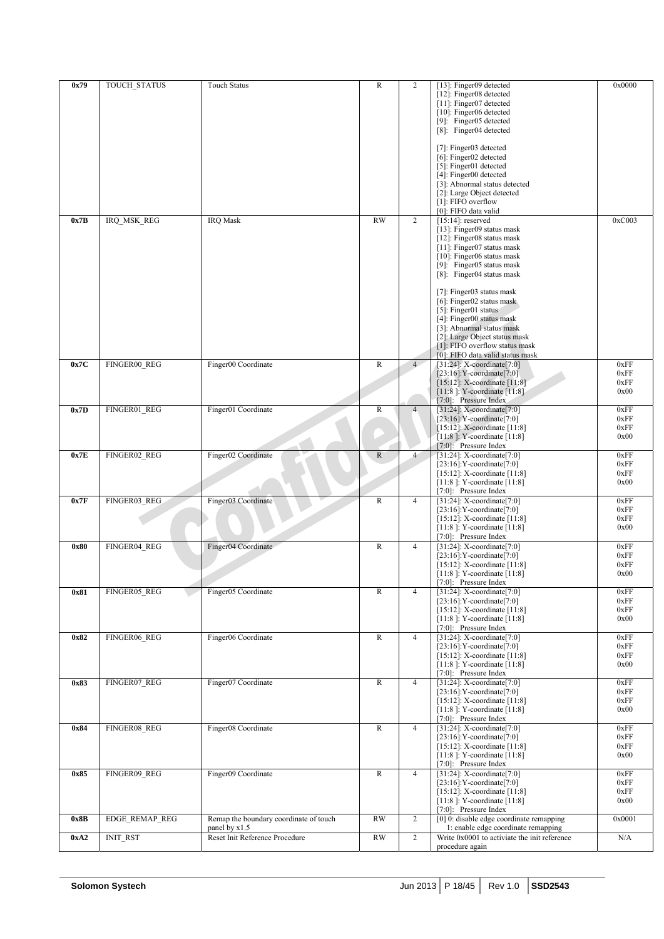| 0x79 | <b>TOUCH STATUS</b>   | <b>Touch Status</b>                    | $\overline{R}$  | $\overline{c}$ | [13]: Finger09 detected                      | 0x0000 |
|------|-----------------------|----------------------------------------|-----------------|----------------|----------------------------------------------|--------|
|      |                       |                                        |                 |                | [12]: Finger08 detected                      |        |
|      |                       |                                        |                 |                | [11]: Finger07 detected                      |        |
|      |                       |                                        |                 |                | [10]: Finger06 detected                      |        |
|      |                       |                                        |                 |                | [9]: Finger05 detected                       |        |
|      |                       |                                        |                 |                | [8]: Finger04 detected                       |        |
|      |                       |                                        |                 |                |                                              |        |
|      |                       |                                        |                 |                | [7]: Finger03 detected                       |        |
|      |                       |                                        |                 |                | [6]: Finger02 detected                       |        |
|      |                       |                                        |                 |                | [5]: Finger01 detected                       |        |
|      |                       |                                        |                 |                | [4]: Finger00 detected                       |        |
|      |                       |                                        |                 |                |                                              |        |
|      |                       |                                        |                 |                | [3]: Abnormal status detected                |        |
|      |                       |                                        |                 |                | [2]: Large Object detected                   |        |
|      |                       |                                        |                 |                | [1]: FIFO overflow                           |        |
|      |                       |                                        |                 |                | [0]: FIFO data valid                         |        |
| 0x7B | IRQ MSK REG           | <b>IRQ</b> Mask                        | $\overline{RW}$ | $\overline{2}$ | $[15:14]$ : reserved                         | 0xC003 |
|      |                       |                                        |                 |                | [13]: Finger09 status mask                   |        |
|      |                       |                                        |                 |                | [12]: Finger08 status mask                   |        |
|      |                       |                                        |                 |                | $[11]$ : Finger07 status mask                |        |
|      |                       |                                        |                 |                | [10]: Finger06 status mask                   |        |
|      |                       |                                        |                 |                | [9]: Finger05 status mask                    |        |
|      |                       |                                        |                 |                | [8]: Finger04 status mask                    |        |
|      |                       |                                        |                 |                |                                              |        |
|      |                       |                                        |                 |                | [7]: Finger03 status mask                    |        |
|      |                       |                                        |                 |                | [6]: Finger02 status mask                    |        |
|      |                       |                                        |                 |                | $[5]$ : Finger01 status                      |        |
|      |                       |                                        |                 |                | [4]: Finger00 status mask                    |        |
|      |                       |                                        |                 |                | [3]: Abnormal status mask                    |        |
|      |                       |                                        |                 |                | [2]: Large Object status mask                |        |
|      |                       |                                        |                 |                | [1]: FIFO overflow status mask               |        |
|      |                       |                                        |                 |                | [0]: FIFO data valid status mask             |        |
| 0x7C | FINGER00 REG          | Finger00 Coordinate                    | ${\bf R}$       | 4              | $[31:24]$ : X-coordinate $[7:0]$             | 0xFF   |
|      |                       |                                        |                 |                | $[23:16]:Y$ -coordinate $[7:0]$              | 0xFF   |
|      |                       |                                        |                 |                | [15:12]: X-coordinate [11:8]                 | 0xFF   |
|      |                       |                                        |                 |                | [11:8]: Y-coordinate [11:8]                  | 0x00   |
|      |                       |                                        |                 |                | [7:0]: Pressure Index                        |        |
| 0x7D | FINGER01 REG          | Finger01 Coordinate                    | $\mathbb{R}$    | $\overline{4}$ | $[31:24]$ : X-coordinate $[7:0]$             | 0xFF   |
|      |                       |                                        |                 |                | $[23:16]:Y$ -coordinate $[7:0]$              | 0xFF   |
|      |                       |                                        |                 |                | $[15:12]$ : X-coordinate $[11:8]$            | 0xFF   |
|      |                       |                                        |                 |                | [11:8]: Y-coordinate [11:8]                  | 0x00   |
|      |                       |                                        |                 |                | [7:0]: Pressure Index                        |        |
| 0x7E | FINGER02 REG          | Finger02 Coordinate                    | $\mathbb{R}$    | $\overline{4}$ | $[31:24]$ : X-coordinate $[7:0]$             | 0xFF   |
|      |                       |                                        |                 |                | $[23:16]:Y-coordinate [7:0]$                 | 0xFF   |
|      |                       |                                        |                 |                | $[15:12]$ : X-coordinate $[11:8]$            | 0xFF   |
|      |                       |                                        |                 |                | [11:8]: Y-coordinate [11:8]                  | 0x00   |
|      |                       |                                        |                 |                | [7:0]: Pressure Index                        |        |
| 0x7F | FINGER03_REG          | Finger03 Coordinate                    | $\mathbb{R}$    | $\overline{4}$ | [31:24]: $X$ -coordinate[7:0]                | 0xFF   |
|      |                       |                                        |                 |                | $[23:16]:$ Y-coordinate $[7:0]$              | 0xFF   |
|      |                       |                                        |                 |                | [15:12]: X-coordinate [11:8]                 | 0xFF   |
|      |                       |                                        |                 |                | [11:8]: Y-coordinate [11:8]                  | 0x00   |
|      |                       |                                        |                 |                | [7:0]: Pressure Index                        |        |
| 0x80 | FINGER04 REG          | Finger04 Coordinate                    | $\mathbb{R}$    | $\overline{4}$ | [31:24]: X-coordinate[7:0]                   | 0xFF   |
|      |                       |                                        |                 |                | $[23:16]:$ Y-coordinate $[7:0]$              | 0xFF   |
|      |                       |                                        |                 |                | $[15:12]$ : X-coordinate $[11:8]$            | 0xFF   |
|      |                       |                                        |                 |                | [11:8]: Y-coordinate [11:8]                  | 0x00   |
|      |                       |                                        |                 |                | [7:0]: Pressure Index                        |        |
| 0x81 | FINGER05 REG          | Finger05 Coordinate                    | R               | 4              | [31:24]: $X$ -coordinate[7:0]                | 0xFF   |
|      |                       |                                        |                 |                | $[23:16]:Y-coordinate [7:0]$                 | 0xFF   |
|      |                       |                                        |                 |                | $[15:12]$ : X-coordinate $[11:8]$            | 0xFF   |
|      |                       |                                        |                 |                | $[11:8]$ : Y-coordinate $[11:8]$             | 0x00   |
|      |                       |                                        |                 |                | [7:0]: Pressure Index                        |        |
| 0x82 | FINGER06 REG          | Finger06 Coordinate                    | $\mathbb{R}$    | $\overline{4}$ | [31:24]: $X$ -coordinate[7:0]                | 0xFF   |
|      |                       |                                        |                 |                | $[23:16]:Y-coordinate [7:0]$                 | 0xFF   |
|      |                       |                                        |                 |                | $[15:12]$ : X-coordinate $[11:8]$            | 0xFF   |
|      |                       |                                        |                 |                | $[11:8]$ : Y-coordinate $[11:8]$             | 0x00   |
|      |                       |                                        |                 |                | [7:0]: Pressure Index                        |        |
| 0x83 | FINGER07 REG          | Finger07 Coordinate                    | $\mathbb{R}$    | $\overline{4}$ | [31:24]: X-coordinate[7:0]                   | 0xFF   |
|      |                       |                                        |                 |                | $[23:16]:$ Y-coordinate $[7:0]$              | 0xFF   |
|      |                       |                                        |                 |                | $[15:12]$ : X-coordinate $[11:8]$            | 0xFF   |
|      |                       |                                        |                 |                | [11:8]: Y-coordinate [11:8]                  | 0x00   |
|      |                       |                                        |                 |                | [7:0]: Pressure Index                        |        |
| 0x84 | FINGER08 REG          | Finger08 Coordinate                    | $\mathbb{R}$    | $\overline{4}$ | [31:24]: X-coordinate[7:0]                   | 0xFF   |
|      |                       |                                        |                 |                | $[23:16]:Y-coordinate [7:0]$                 | 0xFF   |
|      |                       |                                        |                 |                | $[15:12]$ : X-coordinate $[11:8]$            | 0xFF   |
|      |                       |                                        |                 |                | $[11:8]$ : Y-coordinate $[11:8]$             | 0x00   |
|      |                       |                                        |                 |                | [7:0]: Pressure Index                        |        |
| 0x85 | FINGER09_REG          | Finger09 Coordinate                    | ${\bf R}$       | $\overline{4}$ | [31:24]: X-coordinate[7:0]                   | 0xFF   |
|      |                       |                                        |                 |                | $[23:16]:$ Y-coordinate $[7:0]$              | 0xFF   |
|      |                       |                                        |                 |                | [15:12]: X-coordinate [11:8]                 | 0xFF   |
|      |                       |                                        |                 |                | $[11:8]$ : Y-coordinate $[11:8]$             | 0x00   |
|      |                       |                                        |                 |                | $[7:0]$ : Pressure Index                     |        |
| 0x8B | <b>EDGE REMAP REG</b> | Remap the boundary coordinate of touch | <b>RW</b>       | 2              | [0] 0: disable edge coordinate remapping     | 0x0001 |
|      |                       | panel by x1.5                          |                 |                | 1: enable edge coordinate remapping          |        |
| 0xA2 | <b>INIT_RST</b>       | Reset Init Reference Procedure         | <b>RW</b>       | $\overline{2}$ | Write 0x0001 to activiate the init reference | N/A    |
|      |                       |                                        |                 |                | procedure again                              |        |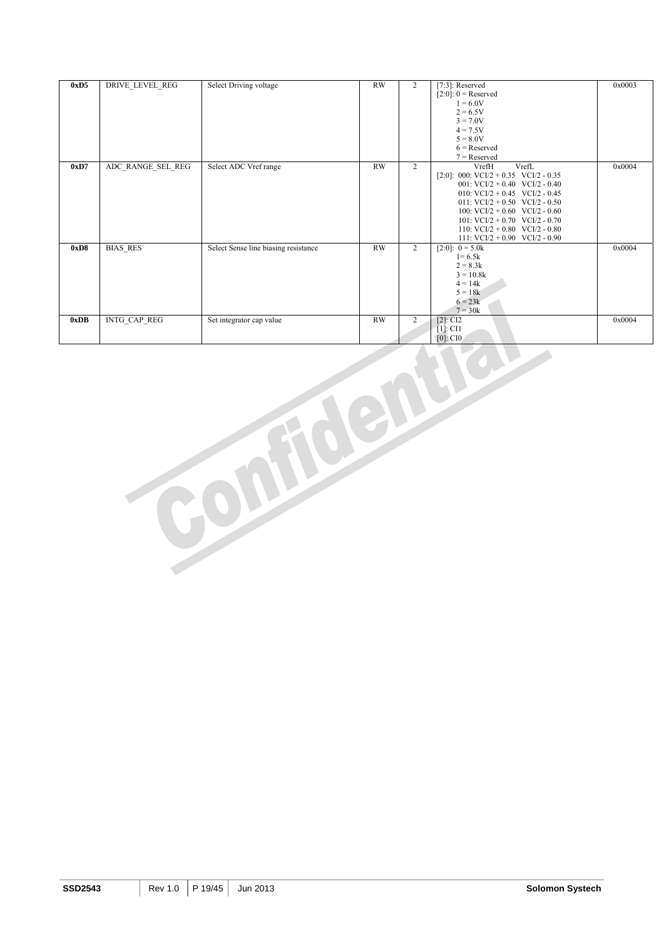| 0xD5 | DRIVE LEVEL REG     | Select Driving voltage               | RW        | $\overline{2}$ | $[7:3]$ : Reserved<br>$[2:0]$ : 0 = Reserved<br>$1 = 6.0V$<br>$2 = 6.5V$<br>$3 = 7.0V$<br>$4 = 7.5V$<br>$5 = 8.0V$<br>$6$ = Reserved<br>$7 =$ Reserved                                                                                                                                                                       | 0x0003 |
|------|---------------------|--------------------------------------|-----------|----------------|------------------------------------------------------------------------------------------------------------------------------------------------------------------------------------------------------------------------------------------------------------------------------------------------------------------------------|--------|
| 0xD7 | ADC RANGE SEL REG   | Select ADC Vref range                | RW        | $\overline{2}$ | VrefH<br>VrefL<br>$[2:0]$ : 000: VCI/2 + 0.35 VCI/2 - 0.35<br>001: $VCI/2 + 0.40$ $VCI/2 - 0.40$<br>010: VCI/2 + 0.45 VCI/2 - 0.45<br>011: $VCI/2 + 0.50$ $VCI/2 - 0.50$<br>100: VCI/2 + 0.60 VCI/2 - 0.60<br>101: $VCI/2 + 0.70$ $VCI/2 - 0.70$<br>110: $VCI/2 + 0.80$ $VCI/2 - 0.80$<br>111: $VCI/2 + 0.90$ $VCI/2 - 0.90$ | 0x0004 |
| 0xD8 | <b>BIAS RES</b>     | Select Sense line biasing resistance | RW        | $\overline{2}$ | $[2:0]$ : $0 = 5.0k$<br>$1 = 6.5k$<br>$2 = 8.3k$<br>$3 = 10.8k$<br>$4 = 14k$<br>$5 = 18k$<br>$6 = 23k$<br>$7 = 30k$                                                                                                                                                                                                          | 0x0004 |
| 0xDB | <b>INTG CAP REG</b> | Set integrator cap value             | <b>RW</b> | $\overline{2}$ | $[2]$ : CI2<br>$[1]$ : CI1<br>$[0]$ : CIO                                                                                                                                                                                                                                                                                    | 0x0004 |

**SSD2543** Rev 1.0 P 19/45 Jun 2013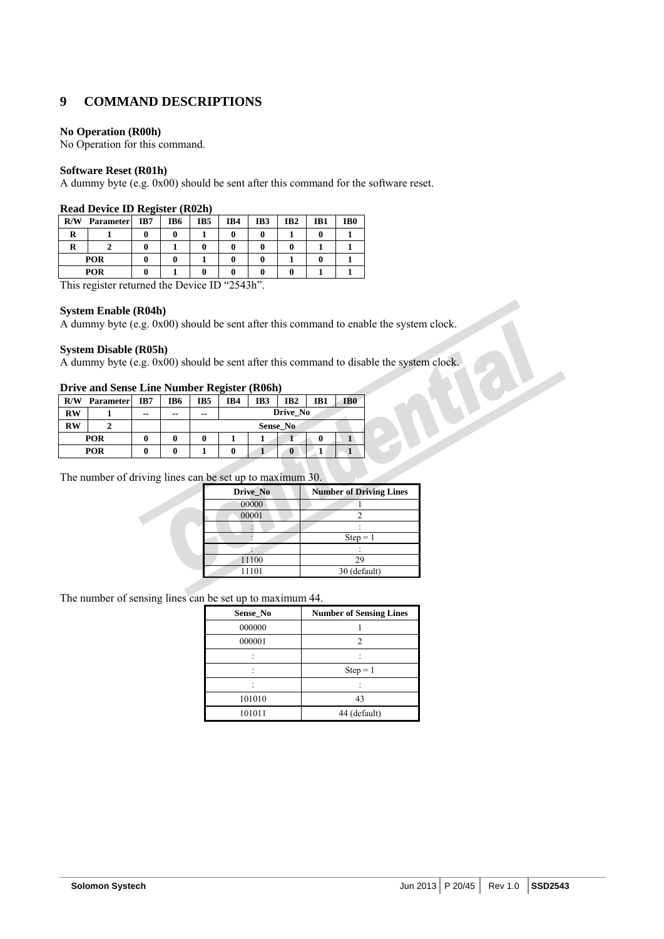## **9 COMMAND DESCRIPTIONS**

#### **No Operation (R00h)**

No Operation for this command.

#### **Software Reset (R01h)**

A dummy byte (e.g. 0x00) should be sent after this command for the software reset.

|      | Read Device ID Register (R02II)                                        |                |        |     |           |     |                 |     |                 |  |
|------|------------------------------------------------------------------------|----------------|--------|-----|-----------|-----|-----------------|-----|-----------------|--|
| R/W  | <b>Parameter</b>                                                       | IB7            | IB6    | IB5 | IB4       | IB3 | IB <sub>2</sub> | IB1 | IB <sub>0</sub> |  |
|      |                                                                        |                |        |     |           |     |                 |     |                 |  |
| R    |                                                                        |                |        |     |           |     |                 |     |                 |  |
|      | <b>POR</b>                                                             |                |        |     |           |     |                 |     |                 |  |
|      | POR                                                                    |                |        |     |           |     |                 |     |                 |  |
| $-1$ | the contract of the contract of<br>the contract of the contract of the | $\blacksquare$ | $\sim$ | ٠   | $T = 100$ |     |                 |     |                 |  |

#### **Read Device ID Register (R02h)**

This register returned the Device ID "2543h".

#### **System Enable (R04h)**

A dummy byte (e.g. 0x00) should be sent after this command to enable the system clock.

#### **System Disable (R05h)**

A dummy byte (e.g. 0x00) should be sent after this command to disable the system clock.

#### **Drive and Sense Line Number Register (R06h)**

| R/W       | <b>Parameter</b> | IB7 | IB6 | IB5 | IB4             | IB <sub>3</sub> | IB <sub>2</sub> | IB1 | IB <sub>0</sub> |  |
|-----------|------------------|-----|-----|-----|-----------------|-----------------|-----------------|-----|-----------------|--|
| <b>RW</b> |                  | --  | --  | --  | Drive No        |                 |                 |     |                 |  |
| <b>RW</b> |                  |     |     |     | <b>Sense No</b> |                 |                 |     |                 |  |
|           | POR              |     |     | 0   |                 |                 |                 |     |                 |  |
| POR       |                  |     |     |     |                 |                 | $\bf{0}$        |     |                 |  |

The number of driving lines can be set up to maximum 30.

| Drive_No | <b>Number of Driving Lines</b> |
|----------|--------------------------------|
| 00000    |                                |
| 00001    |                                |
|          |                                |
|          | $Step = 1$                     |
|          |                                |
| 11100    | 29                             |
| 11101    | 30 (default)                   |

The number of sensing lines can be set up to maximum 44.

| Sense_No | <b>Number of Sensing Lines</b> |
|----------|--------------------------------|
| 000000   |                                |
| 000001   | 2                              |
|          |                                |
|          | $Step = 1$                     |
|          |                                |
| 101010   | 43                             |
| 101011   | 44 (default)                   |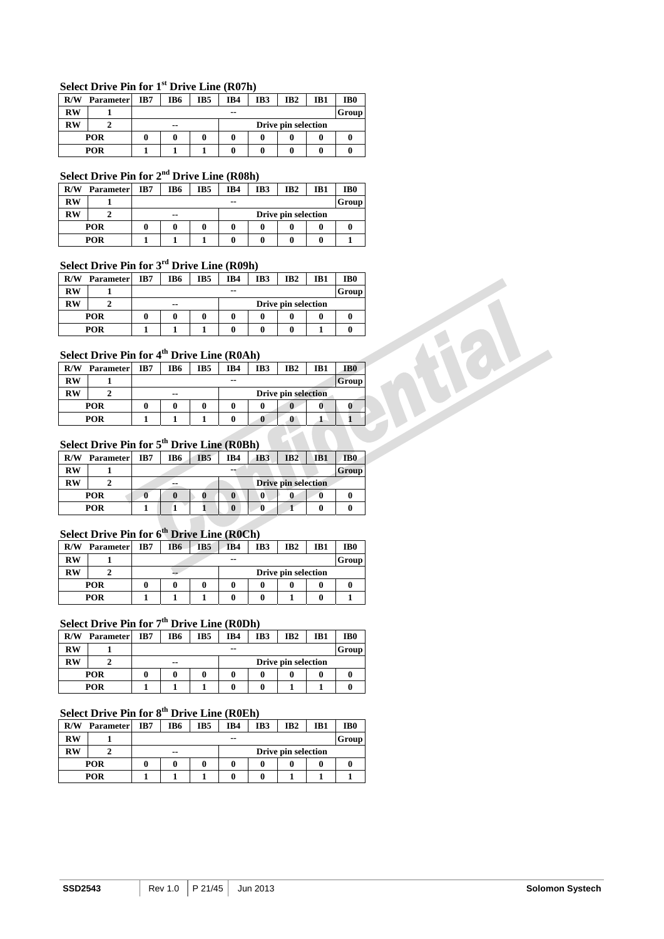#### **Select Drive Pin for 1st Drive Line (R07h)**

| R/W        | <b>Parameter</b> | IB7 | IB6                       | IB5 | IB4   | IB <sub>3</sub> | IB <sub>2</sub> | IB1 | IB <sub>0</sub> |  |
|------------|------------------|-----|---------------------------|-----|-------|-----------------|-----------------|-----|-----------------|--|
| <b>RW</b>  |                  |     |                           |     | $- -$ |                 |                 |     | Group           |  |
| <b>RW</b>  |                  |     | Drive pin selection<br>-- |     |       |                 |                 |     |                 |  |
|            | <b>POR</b>       |     |                           |     |       |                 |                 |     |                 |  |
| <b>POR</b> |                  |     |                           |     |       |                 |                 |     |                 |  |

## **Select Drive Pin for 2nd Drive Line (R08h)**

| R/W        | <b>Parameter</b> | IB7 | IB6                          | IB5 | IB4 | IB3 | IB <sub>2</sub> | IB1 | IB <sub>0</sub> |  |
|------------|------------------|-----|------------------------------|-----|-----|-----|-----------------|-----|-----------------|--|
| RW         |                  |     | $- -$                        |     |     |     |                 |     | Group           |  |
| <b>RW</b>  |                  |     | Drive pin selection<br>$- -$ |     |     |     |                 |     |                 |  |
|            | <b>POR</b>       |     |                              |     |     |     |                 |     | u               |  |
| <b>POR</b> |                  |     |                              |     |     |     |                 |     |                 |  |

## **Select Drive Pin for 3rd Drive Line (R09h)**

| R/W        | <b>Parameter</b> | IB7 | IB6                          | IB <sub>5</sub> | IB4 | IB3 | IB <sub>2</sub> | IB1 | IB <sub>0</sub> |
|------------|------------------|-----|------------------------------|-----------------|-----|-----|-----------------|-----|-----------------|
| RW         |                  |     | Group<br>$- -$               |                 |     |     |                 |     |                 |
| RW         |                  |     | Drive pin selection<br>$- -$ |                 |     |     |                 |     |                 |
|            | <b>POR</b>       |     |                              |                 |     |     |                 | 0   |                 |
| <b>POR</b> |                  |     |                              |                 |     |     |                 |     |                 |

## **Select Drive Pin for 4th Drive Line (R0Ah)**

| R/W        | <b>Parameter</b> | IB7 | IB6                              | IB5 | IB4 | IB <sub>3</sub> | IB <sub>2</sub> | IB1 | IB <sub>0</sub> |
|------------|------------------|-----|----------------------------------|-----|-----|-----------------|-----------------|-----|-----------------|
| RW         |                  |     |                                  |     | --  |                 |                 |     | Group           |
| <b>RW</b>  |                  |     | <b>Drive pin selection</b><br>-- |     |     |                 |                 |     |                 |
|            | <b>POR</b>       |     |                                  |     |     |                 |                 |     |                 |
| <b>POR</b> |                  |     |                                  |     |     | u               |                 |     |                 |

## **Select Drive Pin for 5th Drive Line (R0Bh)**

| R/W        | <b>Parameter</b> | IB7 | IB6 | IB5 | IB4      | IB <sub>3</sub> | IB2                        | IB1 | IB <sub>0</sub> |
|------------|------------------|-----|-----|-----|----------|-----------------|----------------------------|-----|-----------------|
| RW         |                  |     |     |     | --       |                 |                            |     | Group           |
| RW         |                  |     | --  |     |          |                 | <b>Drive pin selection</b> |     |                 |
|            | <b>POR</b>       |     |     |     | 0        |                 |                            |     |                 |
| <b>POR</b> |                  |     |     |     | $\bf{0}$ |                 |                            |     |                 |

## **Select Drive Pin for 6th Drive Line (R0Ch)**

| R/W       | <b>Parameter</b> | IB7 | IB6 | IB5 | IB4 | IB3 | IB <sub>2</sub> | IB1 | IB <sub>0</sub> |
|-----------|------------------|-----|-----|-----|-----|-----|-----------------|-----|-----------------|
| RW        |                  |     |     |     | --  |     |                 |     | Group           |
| <b>RW</b> |                  |     | --  |     |     |     |                 |     |                 |
|           | <b>POR</b>       |     |     |     |     |     |                 |     |                 |
|           | POR              |     |     |     |     |     |                 |     |                 |

## **Select Drive Pin for 7th Drive Line (R0Dh)**

| R/W        | <b>Parameter</b> | IB7 | IB6                       | IB5 | IB4 | IB3 | IB <sub>2</sub> | IB1 | IB <sub>0</sub> |  |
|------------|------------------|-----|---------------------------|-----|-----|-----|-----------------|-----|-----------------|--|
| RW         |                  |     | Group<br>$- -$            |     |     |     |                 |     |                 |  |
| <b>RW</b>  |                  |     | Drive pin selection<br>-- |     |     |     |                 |     |                 |  |
|            | <b>POR</b>       |     |                           |     |     |     |                 | o   |                 |  |
| <b>POR</b> |                  |     |                           |     |     |     |                 |     |                 |  |

## **Select Drive Pin for 8th Drive Line (R0Eh)**

| R/W        | <b>Parameter</b> | IB7 | IB <sub>2</sub><br>IB6<br>IB5<br>IB4<br>IB3<br>IB1 |  |  |  |  |  |  |  |
|------------|------------------|-----|----------------------------------------------------|--|--|--|--|--|--|--|
| $RW$       |                  |     | $- -$                                              |  |  |  |  |  |  |  |
| RW         |                  |     | Drive pin selection<br>--                          |  |  |  |  |  |  |  |
|            | <b>POR</b>       |     |                                                    |  |  |  |  |  |  |  |
| <b>POR</b> |                  |     |                                                    |  |  |  |  |  |  |  |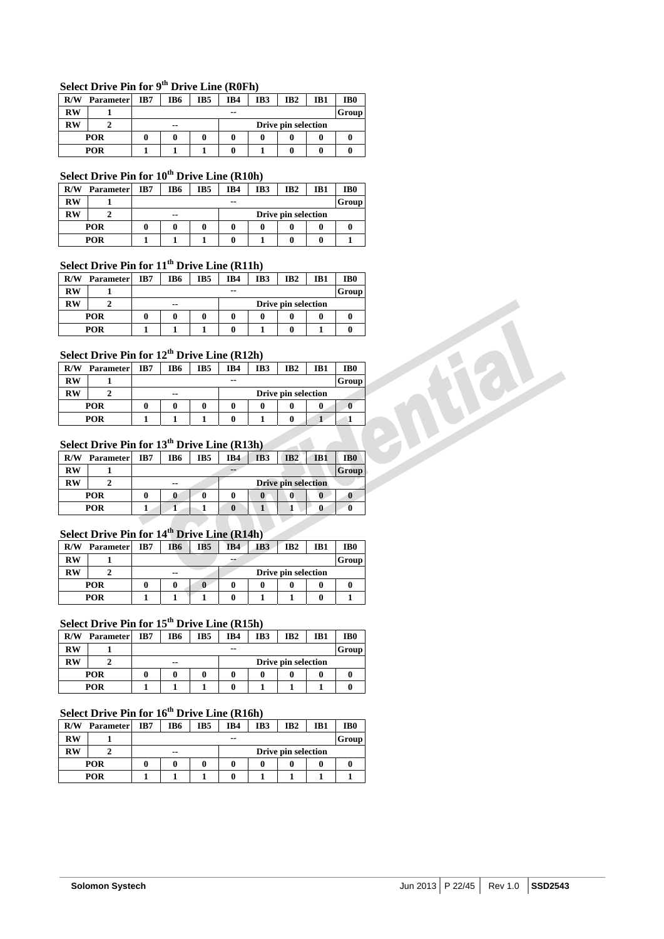## **Select Drive Pin for 9th Drive Line (R0Fh)**

| R/W       | <b>Parameter</b> | IB7 | IB6                       | IB5 | IB4 | IB3 | IB <sub>2</sub> | IB1 | IB <sub>0</sub> |
|-----------|------------------|-----|---------------------------|-----|-----|-----|-----------------|-----|-----------------|
| RW        |                  |     | --                        |     |     |     |                 |     | Group           |
| <b>RW</b> |                  |     | Drive pin selection<br>-- |     |     |     |                 |     |                 |
|           | POR              |     |                           |     |     |     |                 |     |                 |
| POR       |                  |     |                           |     |     |     |                 |     |                 |

## **Select Drive Pin for 10th Drive Line (R10h)**

| R/W       | <b>Parameter</b> | IB7 | IB6                          | IB5 | IB4   | IB3 | IB <sub>2</sub> | IB1 | IB0   |  |  |
|-----------|------------------|-----|------------------------------|-----|-------|-----|-----------------|-----|-------|--|--|
| <b>RW</b> |                  |     |                              |     | $- -$ |     |                 |     | Group |  |  |
| <b>RW</b> |                  |     | Drive pin selection<br>$- -$ |     |       |     |                 |     |       |  |  |
|           | POR              |     |                              |     |       |     |                 |     |       |  |  |
|           | POR              |     |                              |     |       |     |                 |     |       |  |  |

## **Select Drive Pin for 11th Drive Line (R11h)**

| R/W       | <b>Parameter</b> | IB7 | IB6                                  | IB <sub>5</sub> | IB4   | IB3 | IB <sub>2</sub> | IB1 | IB <sub>0</sub> |  |
|-----------|------------------|-----|--------------------------------------|-----------------|-------|-----|-----------------|-----|-----------------|--|
| <b>RW</b> |                  |     |                                      |                 | $- -$ |     |                 |     | Group           |  |
| RW        |                  |     | Drive pin selection<br>$\sim$ $\sim$ |                 |       |     |                 |     |                 |  |
|           | POR              |     |                                      |                 |       |     |                 | 0   |                 |  |
|           | POR              |     |                                      |                 |       |     |                 |     |                 |  |

### **Select Drive Pin for 12th Drive Line (R12h)**

|                        | <b>POR</b>                                                                                    | $\bf{0}$ | 0           | 0               | $\bf{0}$               | 0               | $\bf{0}$            | $\bf{0}$        | 0               |
|------------------------|-----------------------------------------------------------------------------------------------|----------|-------------|-----------------|------------------------|-----------------|---------------------|-----------------|-----------------|
|                        | <b>POR</b>                                                                                    |          |             |                 | $\mathbf{0}$           |                 | 0                   |                 | 0               |
|                        | Select Drive Pin for $12^{th}$ Drive Line (R12h)                                              |          |             |                 |                        |                 |                     |                 |                 |
| R/W                    | <b>Parameter</b>                                                                              | IB7      | IB6         | IB <sub>5</sub> | IB4                    | IB <sub>3</sub> | IB2                 | IB1             | IB <sub>0</sub> |
| <b>RW</b>              |                                                                                               |          |             |                 | --                     |                 |                     |                 | <b>Group</b>    |
| $\mathbf{R}\mathbf{W}$ | $\mathbf{2}$                                                                                  |          | $- -$       |                 |                        |                 | Drive pin selection |                 |                 |
|                        | <b>POR</b>                                                                                    | 0        | 0           | 0               | $\mathbf{0}$           | 0               | 0                   | 0               |                 |
|                        | <b>POR</b>                                                                                    |          |             |                 | $\bf{0}$               |                 | 0                   |                 |                 |
|                        | Select Drive Pin for $13th$ Drive Line (R13h)                                                 |          |             |                 |                        |                 |                     |                 |                 |
|                        | $\mathbf{D} \mathbf{A} \mathbf{V}$ $\mathbf{D}$ = = = = = = + = = = = $\mathbf{D} \mathbf{Z}$ |          | $T_{\rm D}$ | <b>TDF</b>      | <b>TD</b> <sub>4</sub> | TD2             | <b>TDA</b>          | TD <sub>1</sub> | TDA.            |

## **Select Drive Pin for 13th Drive Line (R13h)**

| R/W | <b>Parameter</b> | IB7 | IB6                       | IB5 | IB4 | IB <sub>3</sub> | IB2 | IB1 | IB <sub>0</sub> |  |
|-----|------------------|-----|---------------------------|-----|-----|-----------------|-----|-----|-----------------|--|
| RW  |                  |     |                           |     | --  |                 |     |     | Group           |  |
| RW  |                  |     | Drive pin selection<br>-- |     |     |                 |     |     |                 |  |
|     | <b>POR</b>       |     |                           |     |     |                 | 0   | 0   | u               |  |
|     | POR              |     |                           |     |     |                 |     |     |                 |  |

#### **Select Drive Pin for 14th Drive Line (R14h)**

| R/W       | <b>Parameter</b> | IB7 | IB6                       | IB5 | IB4 | IB3 | IB2 | IB1 | IB <sub>0</sub> |  |
|-----------|------------------|-----|---------------------------|-----|-----|-----|-----|-----|-----------------|--|
| <b>RW</b> |                  |     |                           |     | --  |     |     |     | Group           |  |
| <b>RW</b> |                  |     | Drive pin selection<br>-- |     |     |     |     |     |                 |  |
|           | POR              |     |                           |     |     |     |     |     |                 |  |
|           | POR              |     |                           |     |     |     |     |     |                 |  |

## **Select Drive Pin for 15th Drive Line (R15h)**

| R/W  | <b>Parameter</b> | IB7 | IB6                          | IB <sub>5</sub> | IB4 | IB <sub>3</sub> | IB <sub>2</sub> | IB1 | IB <sub>0</sub> |  |  |
|------|------------------|-----|------------------------------|-----------------|-----|-----------------|-----------------|-----|-----------------|--|--|
| $RW$ |                  |     | Group<br>$- -$               |                 |     |                 |                 |     |                 |  |  |
| RW   |                  |     | Drive pin selection<br>$- -$ |                 |     |                 |                 |     |                 |  |  |
|      | POR              |     |                              |                 |     |                 |                 |     |                 |  |  |
|      | POR              |     |                              |                 |     |                 |                 |     |                 |  |  |

## **Select Drive Pin for 16th Drive Line (R16h)**

| R/W  | <b>Parameter</b> | IB7 | IB6                       | IB5 | IB4   | IB3 | IB <sub>2</sub> | IB1 | IB <sub>0</sub> |  |
|------|------------------|-----|---------------------------|-----|-------|-----|-----------------|-----|-----------------|--|
| $RW$ |                  |     |                           |     | $- -$ |     |                 |     | Group           |  |
| RW   |                  |     | Drive pin selection<br>-- |     |       |     |                 |     |                 |  |
|      | <b>POR</b>       |     | 0                         | 0   |       |     |                 |     |                 |  |
|      | POR              |     |                           |     |       |     |                 |     |                 |  |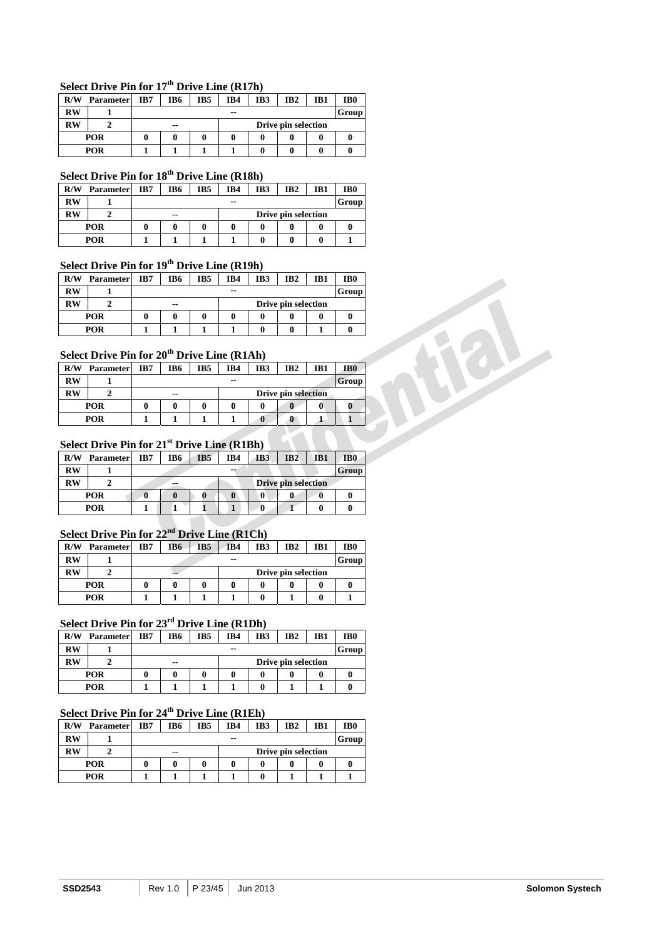## **Select Drive Pin for 17th Drive Line (R17h)**

| R/W       | <b>Parameter</b> | IB7 | IB6 | IB5 | IB4   | IB <sub>3</sub> | IB <sub>2</sub>     | IB1 | IB <sub>0</sub> |
|-----------|------------------|-----|-----|-----|-------|-----------------|---------------------|-----|-----------------|
| <b>RW</b> |                  |     |     |     | $- -$ |                 |                     |     | Group           |
| <b>RW</b> |                  |     | --  |     |       |                 | Drive pin selection |     |                 |
|           | <b>POR</b>       |     |     |     |       |                 |                     |     |                 |
|           | <b>POR</b>       |     |     |     |       |                 |                     |     |                 |

## **Select Drive Pin for 18th Drive Line (R18h)**

| R/W | <b>Parameter</b> | IB7 | IB6                       | IB5 | IB4   | IB3 | IB2 | IB1 | IB <sub>0</sub> |  |  |
|-----|------------------|-----|---------------------------|-----|-------|-----|-----|-----|-----------------|--|--|
| RW  |                  |     |                           |     | $- -$ |     |     |     | Group           |  |  |
| RW  |                  |     | Drive pin selection<br>-- |     |       |     |     |     |                 |  |  |
|     | <b>POR</b>       |     | 0                         |     |       |     |     |     | v               |  |  |
|     | POR              |     |                           |     |       |     |     |     |                 |  |  |

## **Select Drive Pin for 19th Drive Line (R19h)**

| R/W       | <b>Parameter</b> | IB7 | IB6                          | IB5 | IB4   | IB3 | IB <sub>2</sub> | IB1 | IB <sub>0</sub> |  |
|-----------|------------------|-----|------------------------------|-----|-------|-----|-----------------|-----|-----------------|--|
| RW        |                  |     |                              |     | $- -$ |     |                 |     | Group           |  |
| <b>RW</b> |                  |     | Drive pin selection<br>$- -$ |     |       |     |                 |     |                 |  |
|           | <b>POR</b>       |     |                              |     |       |     |                 | 0   |                 |  |
|           | <b>POR</b>       |     |                              |     |       |     |                 |     |                 |  |

## **Select Drive Pin for 20th Drive Line (R1Ah)**

| R/W       | <b>Parameter</b> | IB7 | IB6                              | IB5 | IB4 | IB3 | IB <sub>2</sub> | IB1 | IB <sub>0</sub> |
|-----------|------------------|-----|----------------------------------|-----|-----|-----|-----------------|-----|-----------------|
| <b>RW</b> |                  |     |                                  |     | --  |     |                 |     | Group           |
| <b>RW</b> |                  |     | <b>Drive pin selection</b><br>-- |     |     |     |                 |     |                 |
|           | <b>POR</b>       |     |                                  |     |     |     | 0               |     |                 |
|           | POR              |     |                                  |     |     | u   | A               |     |                 |

## **Select Drive Pin for 21st Drive Line (R1Bh)**

| R/W | <b>Parameter</b> | IB7 | IB6 | IB <sub>5</sub> | IB4 | IB <sub>3</sub> | IB2                 | IB1 | IB <sub>0</sub> |
|-----|------------------|-----|-----|-----------------|-----|-----------------|---------------------|-----|-----------------|
| RW  |                  |     |     |                 | --  |                 |                     |     | Group           |
| RW  |                  |     | --  |                 |     |                 | Drive pin selection |     |                 |
|     | <b>POR</b>       |     |     |                 |     |                 |                     | U   |                 |
|     | POR              |     |     |                 |     |                 |                     | 0   |                 |

## **Select Drive Pin for 22nd Drive Line (R1Ch)**

| R/W       | <b>Parameter</b> | IB7 | IB6 | IB5 | IB4   | IB3                 | IB <sub>2</sub> | IB1 | IB <sub>0</sub> |
|-----------|------------------|-----|-----|-----|-------|---------------------|-----------------|-----|-----------------|
| RW        |                  |     |     |     | $- -$ |                     |                 |     | Group           |
| <b>RW</b> |                  |     | --  |     |       | Drive pin selection |                 |     |                 |
|           | POR              |     |     |     |       |                     |                 |     |                 |
|           | POR              |     |     |     |       | 0                   |                 |     |                 |

## **Select Drive Pin for 23rd Drive Line (R1Dh)**

| R/W  | <b>Parameter</b> | IB7 | IB6                          | IB <sub>5</sub> | IB4 | IB <sub>3</sub> | IB <sub>2</sub> | IB1 | IB <sub>0</sub> |  |  |
|------|------------------|-----|------------------------------|-----------------|-----|-----------------|-----------------|-----|-----------------|--|--|
| $RW$ |                  |     | Group<br>$- -$               |                 |     |                 |                 |     |                 |  |  |
| RW   |                  |     | Drive pin selection<br>$- -$ |                 |     |                 |                 |     |                 |  |  |
|      | POR              |     |                              |                 |     |                 |                 |     |                 |  |  |
|      | POR              |     |                              |                 |     |                 |                 |     |                 |  |  |

## **Select Drive Pin for 24th Drive Line (R1Eh)**

| R/W | <b>Parameter</b> | IB7 | IB6                       | IB5 | IB4   | IB3 | IB <sub>2</sub> | IB1 | IB <sub>0</sub> |
|-----|------------------|-----|---------------------------|-----|-------|-----|-----------------|-----|-----------------|
| RW  |                  |     |                           |     | $- -$ |     |                 |     | Group           |
| RW  |                  |     | Drive pin selection<br>-- |     |       |     |                 |     |                 |
|     | POR              |     | a                         | 0   |       |     |                 |     |                 |
|     | POR              |     |                           |     |       |     |                 |     |                 |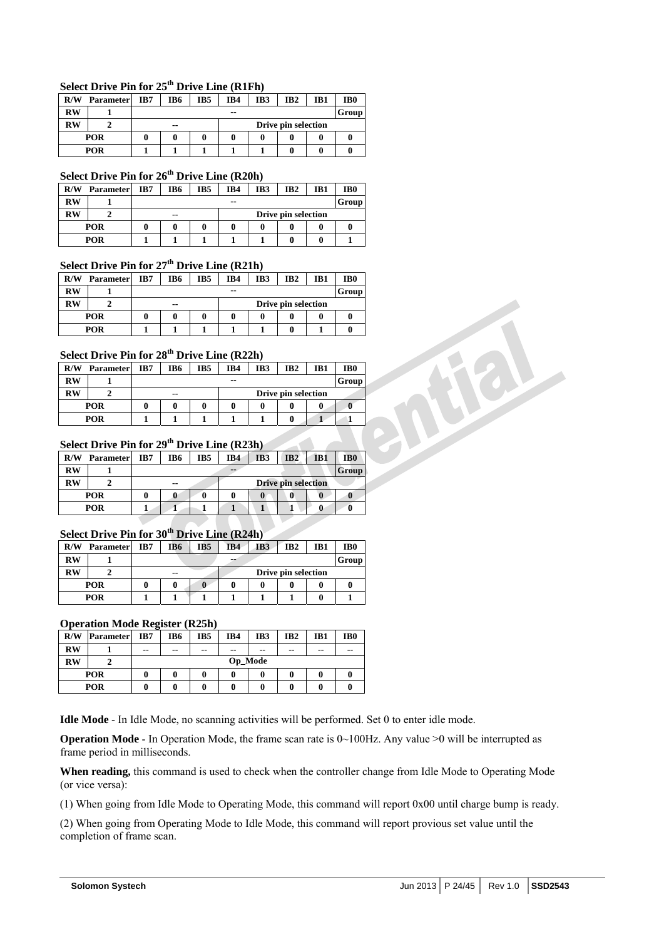### **Select Drive Pin for 25th Drive Line (R1Fh)**

| R/W                    | <b>Parameter</b> | IB7 | IB6                          | IB5 | IB4 | IB3 | IB <sub>2</sub> | IB1 | IB <sub>0</sub> |
|------------------------|------------------|-----|------------------------------|-----|-----|-----|-----------------|-----|-----------------|
| $\mathbf{R}\mathbf{W}$ |                  |     |                              |     | --  |     |                 |     | Group           |
| <b>RW</b>              |                  |     | Drive pin selection<br>$- -$ |     |     |     |                 |     |                 |
|                        | <b>POR</b>       |     |                              |     |     |     |                 |     |                 |
|                        | <b>POR</b>       |     |                              |     |     |     |                 |     |                 |

### **Select Drive Pin for 26th Drive Line (R20h)**

| R/W       | <b>Parameter</b> | IB7 | IB6                                  | IB <sub>5</sub> | IB4 | IB3 | IB <sub>2</sub> | IB1 | IB0 |  |
|-----------|------------------|-----|--------------------------------------|-----------------|-----|-----|-----------------|-----|-----|--|
| <b>RW</b> |                  |     | <b>Group</b><br>$- -$                |                 |     |     |                 |     |     |  |
| <b>RW</b> |                  |     | Drive pin selection<br>$\sim$ $\sim$ |                 |     |     |                 |     |     |  |
|           | <b>POR</b>       |     |                                      |                 |     |     |                 |     |     |  |
|           | <b>POR</b>       |     |                                      |                 |     |     |                 |     |     |  |

#### **Select Drive Pin for 27th Drive Line (R21h)**

| R/W       | <b>Parameter</b> | IB7 | IB6                       | IB5 | IB4   | IB3 | IB <sub>2</sub> | IB1 | IB <sub>0</sub> |
|-----------|------------------|-----|---------------------------|-----|-------|-----|-----------------|-----|-----------------|
| <b>RW</b> |                  |     |                           |     | $- -$ |     |                 |     | Group           |
| RW        |                  |     | Drive pin selection<br>-- |     |       |     |                 |     |                 |
|           | <b>POR</b>       |     |                           |     |       |     |                 |     |                 |
|           | POR              |     |                           |     |       |     |                 |     |                 |

#### **Select Drive Pin for 28th Drive Line (R22h)**

| R/W       | <b>Parameter</b> | IB7 | IB6                       | IB5 | IB4   | IB3 | IB <sub>2</sub> | IB1 | IB <sub>0</sub> |
|-----------|------------------|-----|---------------------------|-----|-------|-----|-----------------|-----|-----------------|
| RW        |                  |     |                           |     | $- -$ |     |                 |     | Group           |
| <b>RW</b> |                  |     | Drive pin selection<br>-- |     |       |     |                 |     |                 |
|           | <b>POR</b>       |     |                           |     |       |     |                 |     |                 |
|           | <b>POR</b>       |     |                           |     |       |     |                 |     |                 |

## **Select Drive Pin for 29th Drive Line (R23h)**

| R/W | <b>Parameter</b> | IB7 | IB6                       | IB5 | IB4 | IB <sub>3</sub> | IB2 | IB1 | IB <sub>0</sub> |  |
|-----|------------------|-----|---------------------------|-----|-----|-----------------|-----|-----|-----------------|--|
| RW  |                  |     | <b>Group</b><br>$-1$      |     |     |                 |     |     |                 |  |
| RW  |                  |     | Drive pin selection<br>-- |     |     |                 |     |     |                 |  |
|     | POR              |     |                           |     |     |                 |     |     |                 |  |
|     | POR              |     |                           |     |     |                 |     |     |                 |  |

#### **Select Drive Pin for 30th Drive Line (R24h)**

| R/W       | <b>Parameter</b> | IB7 | IB6                       | IB <sub>5</sub> | IB4 | IB3 | IB <sub>2</sub> | IB1 | IB <sub>0</sub> |  |  |
|-----------|------------------|-----|---------------------------|-----------------|-----|-----|-----------------|-----|-----------------|--|--|
| <b>RW</b> |                  |     |                           |                 | --  |     |                 |     | Group           |  |  |
| <b>RW</b> |                  |     | Drive pin selection<br>-- |                 |     |     |                 |     |                 |  |  |
|           | <b>POR</b>       |     |                           |                 |     |     |                 |     |                 |  |  |
|           | POR              |     |                           |                 |     |     |                 |     |                 |  |  |

#### **Operation Mode Register (R25h)**

| R/W       | <b>Parameter</b> | IB7 | IB <sub>2</sub><br>IB <sub>0</sub><br>IB5<br>IB4<br>IB3<br>IB6<br>IB1<br>$\sim$ $\sim$<br>$- -$<br>--<br>$- -$<br>--<br>$- -$<br>$- -$<br>Op_Mode |  |  |   |  |   |  |  |  |
|-----------|------------------|-----|---------------------------------------------------------------------------------------------------------------------------------------------------|--|--|---|--|---|--|--|--|
| <b>RW</b> |                  | --  |                                                                                                                                                   |  |  |   |  |   |  |  |  |
| <b>RW</b> |                  |     |                                                                                                                                                   |  |  |   |  |   |  |  |  |
|           | <b>POR</b>       | 0   |                                                                                                                                                   |  |  |   |  |   |  |  |  |
|           | <b>POR</b>       |     |                                                                                                                                                   |  |  | 0 |  | 0 |  |  |  |

**Idle Mode** - In Idle Mode, no scanning activities will be performed. Set 0 to enter idle mode.

**Operation Mode** - In Operation Mode, the frame scan rate is 0~100Hz. Any value >0 will be interrupted as frame period in milliseconds.

**When reading,** this command is used to check when the controller change from Idle Mode to Operating Mode (or vice versa):

(1) When going from Idle Mode to Operating Mode, this command will report 0x00 until charge bump is ready.

(2) When going from Operating Mode to Idle Mode, this command will report provious set value until the completion of frame scan.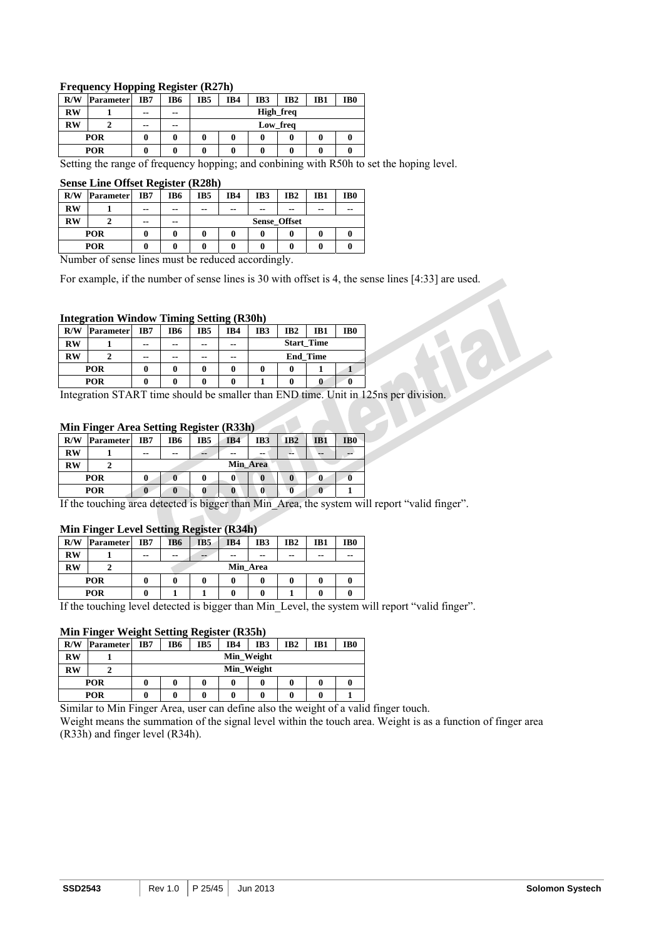#### **Frequency Hopping Register (R27h)**

|           |                  |       | --            |     |          |     |                 |     |     |  |  |
|-----------|------------------|-------|---------------|-----|----------|-----|-----------------|-----|-----|--|--|
| R/W       | <b>Parameter</b> | IB7   | IB6           | IB5 | IB4      | IB3 | IB <sub>2</sub> | IB1 | IB0 |  |  |
| <b>RW</b> |                  | $- -$ | $\sim$ $\sim$ |     |          |     | High_freq       |     |     |  |  |
| <b>RW</b> |                  | $- -$ | $- -$         |     | Low_freq |     |                 |     |     |  |  |
|           | <b>POR</b>       |       |               |     |          |     |                 |     |     |  |  |
|           | <b>POR</b>       |       |               |     |          |     |                 |     |     |  |  |

Setting the range of frequency hopping; and conbining with R50h to set the hoping level.

#### **Sense Line Offset Register (R28h)**

| R/W       | <b>Parameter</b> | IB7   | IB6 | IB5                 | IB4           | IB3   | IB <sub>2</sub> | IB1 | IB <sub>0</sub> |  |
|-----------|------------------|-------|-----|---------------------|---------------|-------|-----------------|-----|-----------------|--|
| <b>RW</b> |                  | --    | --  | --                  | $\sim$ $\sim$ | $- -$ | $- -$           | --  | $- -$           |  |
| <b>RW</b> |                  | $- -$ | --  | <b>Sense Offset</b> |               |       |                 |     |                 |  |
|           | POR              |       |     | 0                   |               |       |                 | 0   |                 |  |
|           | POR              |       |     | 0<br>0              |               |       |                 |     |                 |  |

Number of sense lines must be reduced accordingly.

For example, if the number of sense lines is 30 with offset is 4, the sense lines [4:33] are used.

#### **Integration Window Timing Setting (R30h)**

| R/W       | Parameter  | IB7 | IB6           | IB5   | IB4   | IB3               | IB <sub>2</sub> | IB1 | IB <sub>0</sub> |
|-----------|------------|-----|---------------|-------|-------|-------------------|-----------------|-----|-----------------|
| $RW$      |            | --  | $\sim$ $\sim$ | --    | $- -$ | <b>Start Time</b> |                 |     |                 |
| <b>RW</b> |            | --  | --            | $- -$ | $- -$ | <b>End Time</b>   |                 |     |                 |
|           | <b>POR</b> |     |               |       |       |                   |                 |     |                 |
|           | <b>POR</b> |     |               |       |       | 0                 |                 |     |                 |

Integration START time should be smaller than END time. Unit in 125ns per division.

#### **Min Finger Area Setting Register (R33h)**

| R/W       | <b>Parameter</b> | IB7   | IB6      | IB5 | IB4           | IB <sub>3</sub> | IB2 | IB1 | IB <sub>0</sub> |  |
|-----------|------------------|-------|----------|-----|---------------|-----------------|-----|-----|-----------------|--|
| <b>RW</b> |                  | $- -$ | --       | $=$ | $\sim$ $\sim$ | $- -$           | --  | --  | --              |  |
| <b>RW</b> |                  |       | Min Area |     |               |                 |     |     |                 |  |
| POR       |                  |       |          |     |               |                 | 0   |     |                 |  |
| POR       |                  |       |          |     |               |                 |     |     |                 |  |

If the touching area detected is bigger than Min\_Area, the system will report "valid finger".

#### **Min Finger Level Setting Register (R34h)**

| -----                            |                  |     |          |                 |           |              |                 |     |                   |  |
|----------------------------------|------------------|-----|----------|-----------------|-----------|--------------|-----------------|-----|-------------------|--|
| R/W                              | <b>Parameter</b> | IB7 | IB6      | IB <sub>5</sub> | IB4       | IB3          | IB <sub>2</sub> | IB1 | IB <sub>0</sub>   |  |
| <b>RW</b>                        |                  | --  | --       | $- -$           | --        | $- -$        | --              | --  | --                |  |
| $\overline{\text{RW}}$           |                  |     | Min Area |                 |           |              |                 |     |                   |  |
|                                  | <b>POR</b>       |     |          | 0               |           |              |                 |     |                   |  |
|                                  | <b>POR</b>       |     |          |                 |           |              |                 |     |                   |  |
| $T^{\prime}$ $\Lambda$ $\Lambda$ | п.               |     | .        |                 | $\cdot$ 1 | $\mathbf{r}$ | $\mathbf{r}$    | 1.1 | <b>CONTRACTOR</b> |  |

If the touching level detected is bigger than Min\_Level, the system will report "valid finger".

#### **Min Finger Weight Setting Register (R35h)**

| R/W       | <b>Parameter</b> | IB7 | IB6        | IB <sub>5</sub> | IB4 | IB3 | IB <sub>2</sub> | IB1 | IB0 |  |
|-----------|------------------|-----|------------|-----------------|-----|-----|-----------------|-----|-----|--|
| <b>RW</b> |                  |     | Min_Weight |                 |     |     |                 |     |     |  |
| <b>RW</b> |                  |     | Min_Weight |                 |     |     |                 |     |     |  |
|           | POR              |     | 0          |                 |     |     |                 | 0   |     |  |
|           | <b>POR</b>       |     | a          |                 |     |     |                 |     |     |  |

Similar to Min Finger Area, user can define also the weight of a valid finger touch.

Weight means the summation of the signal level within the touch area. Weight is as a function of finger area (R33h) and finger level (R34h).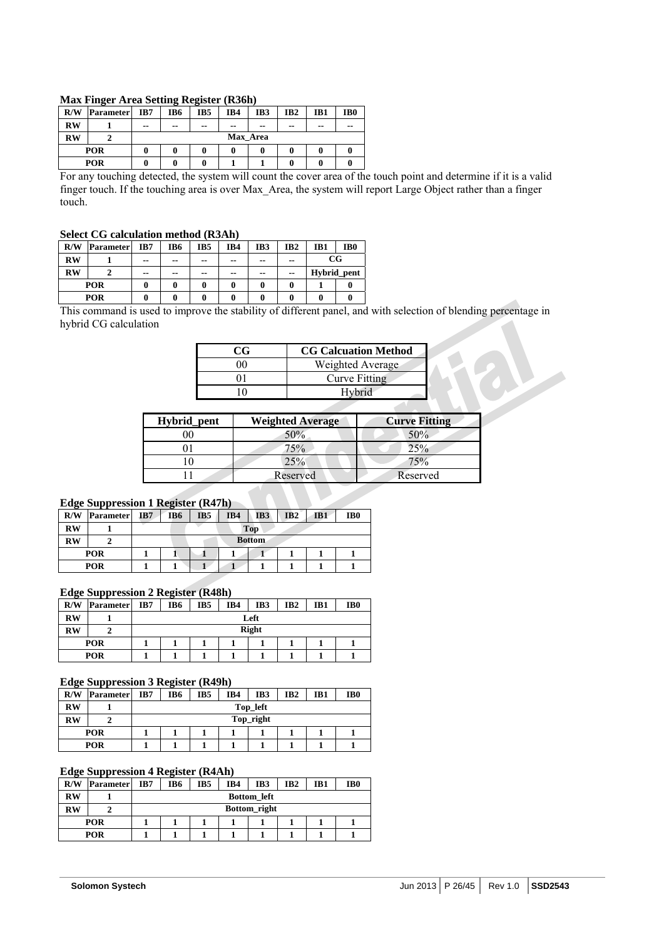| R/W        | -<br><b>Parameter</b> | IB7           | 0<br>IB6 | ۰.<br>IB5 | IB4           | IB3 | IB <sub>2</sub> | IB1   | IB <sub>0</sub> |  |
|------------|-----------------------|---------------|----------|-----------|---------------|-----|-----------------|-------|-----------------|--|
| <b>RW</b>  |                       | $\sim$ $\sim$ | $- -$    | $- -$     | $\sim$ $\sim$ | --  | $- -$           | $- -$ | $- -$           |  |
| <b>RW</b>  |                       |               | Max Area |           |               |     |                 |       |                 |  |
| <b>POR</b> |                       | 0             | 0        | 0         |               | 0   |                 | 0     |                 |  |
|            | POR                   |               | ſ        | 0         |               |     |                 | 0     |                 |  |

For any touching detected, the system will count the cover area of the touch point and determine if it is a valid finger touch. If the touching area is over Max\_Area, the system will report Large Object rather than a finger touch.

#### **Select CG calculation method (R3Ah)**

| R/W       | Parameter  | IB7   | IB6 | IB5   | IB4 | IB <sub>3</sub> | IB <sub>2</sub> | IB1         | IB <sub>0</sub> |
|-----------|------------|-------|-----|-------|-----|-----------------|-----------------|-------------|-----------------|
| <b>RW</b> |            | $- -$ | --  | $- -$ | --  | --              | --              | $_{\rm CG}$ |                 |
| <b>RW</b> |            | $- -$ | --  | $- -$ | --  | $\sim$ $\sim$   | --              |             | Hybrid_pent     |
|           | <b>POR</b> |       |     | 0     |     | 0               |                 |             |                 |
| POR       |            |       |     |       |     |                 |                 |             |                 |

This command is used to improve the stability of different panel, and with selection of blending percentage in hybrid CG calculation

| ( T. | <b>CG Calcuation Method</b> |
|------|-----------------------------|
|      | Weighted Average            |
|      | <b>Curve Fitting</b>        |
|      | Hybrid                      |

| Hybrid_pent | <b>Weighted Average</b> | <b>Curve Fitting</b> |
|-------------|-------------------------|----------------------|
| 70          | 50%                     | 50%                  |
|             | 75%                     | 25%                  |
|             | 25%                     | 75%                  |
|             | Reserved                | Reserved             |
|             |                         |                      |

## **Edge Suppression 1 Register (R47h)**

| - 0<br>R/W | .<br><b>Parameter</b> | IB7 | -<br>IB6      | IB <sub>5</sub> | IB4 | IB3 | IB <sub>2</sub> | IB1 | IB <sub>0</sub> |  |
|------------|-----------------------|-----|---------------|-----------------|-----|-----|-----------------|-----|-----------------|--|
| <b>RW</b>  |                       |     | <b>Top</b>    |                 |     |     |                 |     |                 |  |
| <b>RW</b>  |                       |     | <b>Bottom</b> |                 |     |     |                 |     |                 |  |
| <b>POR</b> |                       |     |               |                 |     |     |                 |     |                 |  |
|            | <b>POR</b>            |     |               |                 |     |     |                 |     |                 |  |

#### **Edge Suppression 2 Register (R48h)**

| R/W                    | <b>Parameter</b> | IB7 | IB6          | IB <sub>5</sub> | IB4 | IB3 | IB <sub>2</sub> | IB1 | IB <sub>0</sub> |  |
|------------------------|------------------|-----|--------------|-----------------|-----|-----|-----------------|-----|-----------------|--|
| $\mathbf{R}\mathbf{W}$ |                  |     | Left         |                 |     |     |                 |     |                 |  |
| $\mathbf{R}\mathbf{W}$ |                  |     | <b>Right</b> |                 |     |     |                 |     |                 |  |
|                        | <b>POR</b>       |     |              |                 |     |     |                 |     |                 |  |
|                        | <b>POR</b>       |     |              |                 |     |     |                 |     |                 |  |

#### **Edge Suppression 3 Register (R49h)**

| R/W        | <b>Parameter</b> | IB7 | IB6       | IB <sub>5</sub> | IB4 | IB <sub>3</sub> | IB <sub>2</sub> | IB1 | IB <sub>0</sub> |  |  |
|------------|------------------|-----|-----------|-----------------|-----|-----------------|-----------------|-----|-----------------|--|--|
| <b>RW</b>  |                  |     | Top_left  |                 |     |                 |                 |     |                 |  |  |
| <b>RW</b>  |                  |     | Top_right |                 |     |                 |                 |     |                 |  |  |
|            | <b>POR</b>       |     |           |                 |     |                 |                 |     |                 |  |  |
| <b>POR</b> |                  |     |           |                 |     |                 |                 |     |                 |  |  |

#### **Edge Suppression 4 Register (R4Ah)**

| R/W | <b>Parameter</b> | IB7 | IB6                | IB <sub>5</sub> | IB4 | IB <sub>3</sub> | IB2 | IB1 | IB <sub>0</sub> |  |  |  |
|-----|------------------|-----|--------------------|-----------------|-----|-----------------|-----|-----|-----------------|--|--|--|
| RW  |                  |     | <b>Bottom</b> left |                 |     |                 |     |     |                 |  |  |  |
| RW  |                  |     | Bottom_right       |                 |     |                 |     |     |                 |  |  |  |
|     | POR              |     |                    |                 |     |                 |     |     |                 |  |  |  |
| POR |                  |     |                    |                 |     |                 |     |     |                 |  |  |  |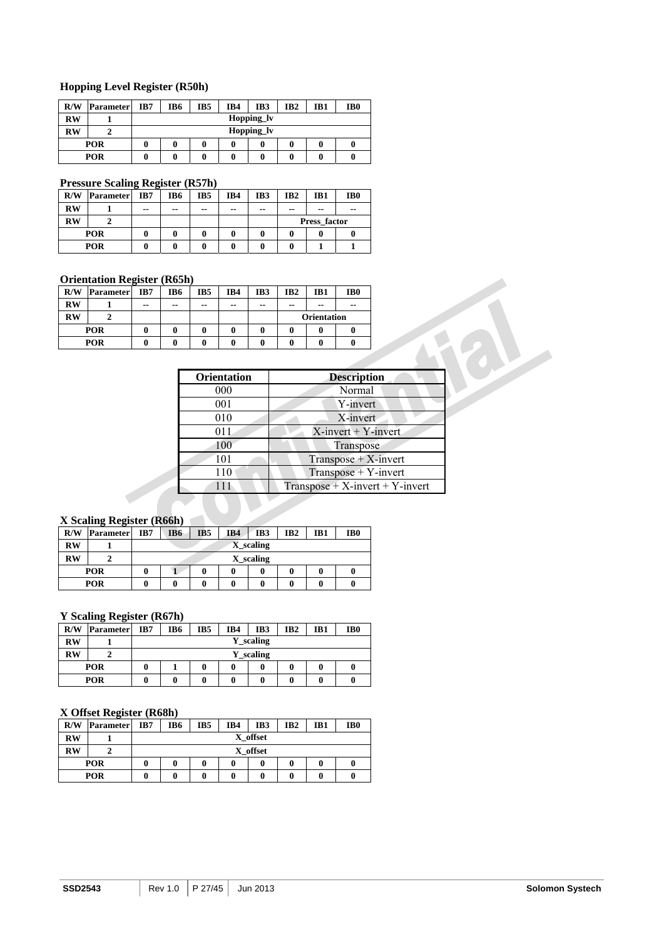#### **Hopping Level Register (R50h)**

| R/W        | <b>Parameter</b> | IB7 | IB6        | IB <sub>5</sub> | IB4 | IB3 | IB <sub>2</sub> | IB1 | IB <sub>0</sub> |  |  |
|------------|------------------|-----|------------|-----------------|-----|-----|-----------------|-----|-----------------|--|--|
| <b>RW</b>  |                  |     | Hopping_lv |                 |     |     |                 |     |                 |  |  |
| <b>RW</b>  | ኅ                |     | Hopping lv |                 |     |     |                 |     |                 |  |  |
|            | POR              |     | 0          |                 | 0   |     |                 |     |                 |  |  |
| <b>POR</b> |                  | 0   | 0          |                 | 0   |     |                 |     |                 |  |  |

#### **Pressure Scaling Register (R57h)**

| R/W        | Parameter | IB7 | IB6   | IB5 | IB4           | IB3           | IB <sub>2</sub> | IB1 | IB0   |
|------------|-----------|-----|-------|-----|---------------|---------------|-----------------|-----|-------|
| $RW$       |           | --  | $- -$ | --  | $\sim$ $\sim$ | $\sim$ $\sim$ | $- -$           | --  | $- -$ |
| <b>RW</b>  |           |     |       |     |               |               | Press factor    |     |       |
| <b>POR</b> |           |     |       |     |               |               |                 |     |       |
| <b>POR</b> |           |     |       |     |               |               |                 |     |       |

#### **Orientation Register (R65h)**

| R/W       | Parameter | IB7 | IB6 | IB5 | IB4 | IB3           | IB <sub>2</sub>    | IB1 | IB <sub>0</sub> |
|-----------|-----------|-----|-----|-----|-----|---------------|--------------------|-----|-----------------|
| <b>RW</b> |           | --  | --  | --  | --  | $\sim$ $\sim$ | --                 | --  | --              |
| RW        |           |     |     |     |     |               | <b>Orientation</b> |     |                 |
|           | POR       | 0   | 0   | 0   | 0   | 0             |                    | 0   |                 |
| POR       |           |     | U   | 0   | u   |               |                    |     |                 |

|   |                    |              |              | <b>Orientation</b> |                    |                                   |  |
|---|--------------------|--------------|--------------|--------------------|--------------------|-----------------------------------|--|
| 0 | $\mathbf{0}$       | $\mathbf{0}$ | 0            | 0                  | 0                  |                                   |  |
| 0 | $\bf{0}$           | $\mathbf{0}$ | $\mathbf{0}$ | 0                  | 0                  |                                   |  |
|   |                    |              |              |                    |                    |                                   |  |
|   | <b>Orientation</b> |              |              |                    | <b>Description</b> |                                   |  |
|   | 000                |              |              |                    | Normal             |                                   |  |
|   | 001                |              |              |                    | Y-invert           |                                   |  |
|   | 010                |              |              |                    | X-invert           |                                   |  |
|   | 011                |              |              |                    |                    | $X$ -invert + Y-invert            |  |
|   | 100                |              |              |                    | Transpose          |                                   |  |
|   | 101                |              |              |                    |                    | $Transpose + X$ -invert           |  |
|   | 110                |              |              |                    |                    | $Transpose + Y$ -invert           |  |
|   | 111                |              |              |                    |                    | $Transpose + X-invert + Y-invert$ |  |

#### **X Scaling Register (R66h)**

| R/W                    | -<br>-<br><b>Parameter</b> | IB7 | IB6       | IB <sub>5</sub> | IB4 | IB3 | IB <sub>2</sub> | IB1 | IB <sub>0</sub> |  |  |
|------------------------|----------------------------|-----|-----------|-----------------|-----|-----|-----------------|-----|-----------------|--|--|
| <b>RW</b>              |                            |     | X scaling |                 |     |     |                 |     |                 |  |  |
| $\mathbf{R}\mathbf{W}$ |                            |     | X scaling |                 |     |     |                 |     |                 |  |  |
| <b>POR</b>             |                            |     |           |                 | 0   |     |                 |     |                 |  |  |
| <b>POR</b>             |                            |     |           |                 | 0   |     |                 |     |                 |  |  |

#### **Y Scaling Register (R67h)**

| R/W        | <b>Parameter</b> | IB7 | IB6       | IB5 | IB4 | IB3 | IB <sub>2</sub> | IB1 | IB <sub>0</sub> |  |  |
|------------|------------------|-----|-----------|-----|-----|-----|-----------------|-----|-----------------|--|--|
| <b>RW</b>  |                  |     | Y_scaling |     |     |     |                 |     |                 |  |  |
| <b>RW</b>  |                  |     | Y_scaling |     |     |     |                 |     |                 |  |  |
| <b>POR</b> |                  |     |           |     |     | 0   |                 |     | v               |  |  |
| <b>POR</b> |                  |     | 0         |     |     | 0   |                 |     |                 |  |  |

#### **X Offset Register (R68h)**

| R/W                    | o<br><b>Parameter</b> | IB7 | IB6      | IB5 | IB4 | IB3 | IB <sub>2</sub> | IB1 | IB <sub>0</sub> |  |  |
|------------------------|-----------------------|-----|----------|-----|-----|-----|-----------------|-----|-----------------|--|--|
| <b>RW</b>              |                       |     | X offset |     |     |     |                 |     |                 |  |  |
| $\mathbf{R}\mathbf{W}$ |                       |     | X offset |     |     |     |                 |     |                 |  |  |
| POR                    |                       |     | 0        |     |     |     |                 |     |                 |  |  |
| POR                    |                       |     | 0        |     | 0   |     |                 |     |                 |  |  |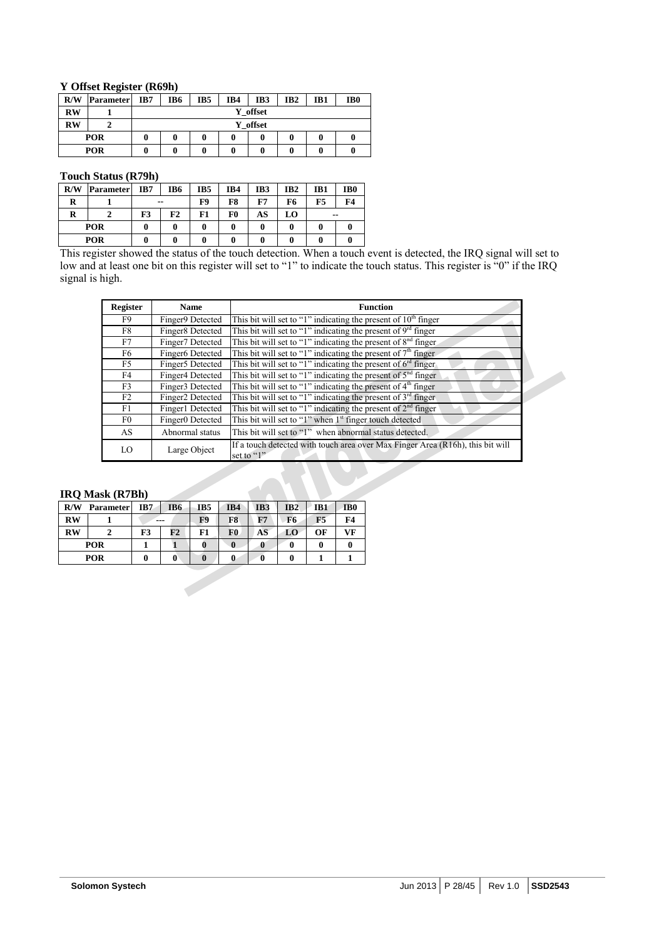#### **Y Offset Register (R69h)**

| R/W                    | <b>Parameter</b> | IB7 | IB6         | IB <sub>5</sub> | IB4 | IB3 | IB <sub>2</sub> | IB1 | IB <sub>0</sub> |  |  |
|------------------------|------------------|-----|-------------|-----------------|-----|-----|-----------------|-----|-----------------|--|--|
| <b>RW</b>              |                  |     | offset<br>Y |                 |     |     |                 |     |                 |  |  |
| $\mathbf{R}\mathbf{W}$ |                  |     | offset<br>Y |                 |     |     |                 |     |                 |  |  |
| <b>POR</b>             |                  |     | 0           | 0               | 0   |     | 0               | U   | 0               |  |  |
|                        | <b>POR</b>       |     | 0           | 0               | 0   |     | 0               |     | 0               |  |  |

#### **Touch Status (R79h)**

| R/W | <b>Parameter</b> | IB7   | IB6 | IB5 | IB4 | IB3 | IB <sub>2</sub> | IB1   | IB <sub>0</sub> |
|-----|------------------|-------|-----|-----|-----|-----|-----------------|-------|-----------------|
| R   |                  | $- -$ |     | F9  | F8  | F7  | F6              | F5    | F4              |
| R   |                  | F3    | F2  | F1  | F0  | AS  | LO.             | $- -$ |                 |
|     | POR              |       |     |     |     | 0   |                 | 0     |                 |
| POR |                  |       |     |     |     |     |                 | 0     |                 |

This register showed the status of the touch detection. When a touch event is detected, the IRQ signal will set to low and at least one bit on this register will set to "1" to indicate the touch status. This register is "0" if the IRQ signal is high.

| <b>Register</b> | <b>Name</b>      | <b>Function</b>                                                                              |
|-----------------|------------------|----------------------------------------------------------------------------------------------|
| F9.             | Finger9 Detected | This bit will set to "1" indicating the present of $10th$ finger                             |
| F8              | Finger8 Detected | This bit will set to "1" indicating the present of $9rd$ finger                              |
| F7              | Finger7 Detected | This bit will set to "1" indicating the present of $8nd$ finger                              |
| F6              | Finger6 Detected | This bit will set to "1" indicating the present of $7th$ finger                              |
| F5              | Finger5 Detected | This bit will set to "1" indicating the present of $6^{rd}$ finger                           |
| F4              | Finger4 Detected | This bit will set to "1" indicating the present of $5nd$ finger                              |
| F3              | Finger3 Detected | This bit will set to "1" indicating the present of $4th$ finger                              |
| F2              | Finger2 Detected | This bit will set to "1" indicating the present of $3rd$ finger                              |
| F1              | Finger1 Detected | This bit will set to "1" indicating the present of $2nd$ finger                              |
| F0              | Finger0 Detected | This bit will set to "1" when 1 <sup>st</sup> finger touch detected                          |
| AS              | Abnormal status  | This bit will set to "1" when abnormal status detected.                                      |
| LO              | Large Object     | If a touch detected with touch area over Max Finger Area (R16h), this bit will<br>set to "1" |

#### **IRQ Mask (R7Bh)**

|           | ------           |     |     |     |     |                 |     |     |                 |
|-----------|------------------|-----|-----|-----|-----|-----------------|-----|-----|-----------------|
| R/W       | <b>Parameter</b> | IB7 | IB6 | IB5 | IB4 | IB <sub>3</sub> | IB2 | IB1 | IB <sub>0</sub> |
| <b>RW</b> |                  | --- |     | F9  | F8  | F7              | F6  | F5  | F4              |
| <b>RW</b> |                  | F3  | F2  |     | F0  | AS              | LO  | OF  | VF              |
|           | POR              |     |     |     |     | v               |     |     |                 |
|           | POR              |     |     |     |     |                 |     |     |                 |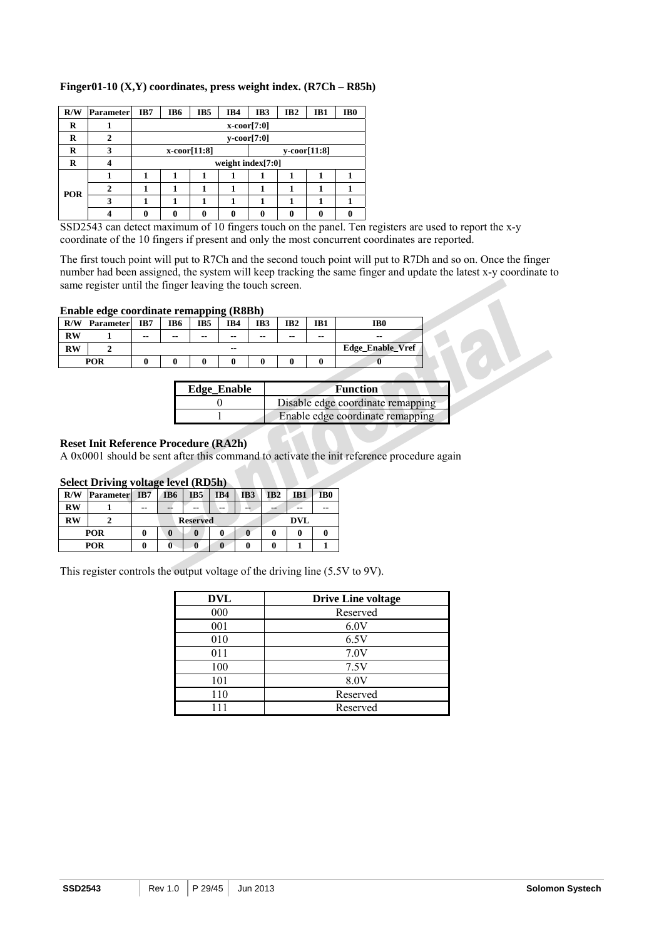| R/W | Parameter | IB7 | IB6                  | IB5                | IB4 | IB3 | IB <sub>2</sub> | IB1                   | IB <sub>0</sub> |
|-----|-----------|-----|----------------------|--------------------|-----|-----|-----------------|-----------------------|-----------------|
| R   |           |     | $x\text{-coor}[7:0]$ |                    |     |     |                 |                       |                 |
| R   |           |     | $y\text{-coor}[7:0]$ |                    |     |     |                 |                       |                 |
| R   | 3         |     |                      | $x$ -coor $[11:8]$ |     |     |                 | $y\text{-coor}[11:8]$ |                 |
| R   |           |     | weight index $[7:0]$ |                    |     |     |                 |                       |                 |
|     |           |     |                      |                    |     |     |                 |                       |                 |

**2** | 1 | 1 | 1 | 1 | 1 | 1 | 1 | 1 **3** | 1 | 1 | 1 | 1 | 1 | 1 | 1 | 1

**4** 0 0 0 0 0 0 0 0 0 0

#### **Finger01-10 (X,Y) coordinates, press weight index. (R7Ch – R85h)**

SSD2543 can detect maximum of 10 fingers touch on the panel. Ten registers are used to report the x-y coordinate of the 10 fingers if present and only the most concurrent coordinates are reported.

The first touch point will put to R7Ch and the second touch point will put to R7Dh and so on. Once the finger number had been assigned, the system will keep tracking the same finger and update the latest x-y coordinate to same register until the finger leaving the touch screen.

#### **Enable edge coordinate remapping (R8Bh)**

**POR** 

| R/W       | <b>Parameter</b> | IB7   | IB <sub>6</sub> | --<br>IB5 | IB4   | IB3   | IB <sub>2</sub> | IB <sub>1</sub> | IB <sub>0</sub>  |
|-----------|------------------|-------|-----------------|-----------|-------|-------|-----------------|-----------------|------------------|
| <b>RW</b> |                  | $- -$ | $- -$           | --        | $- -$ | $- -$ | $- -$           | $- -$           | $- -$            |
| <b>RW</b> |                  |       |                 |           | $- -$ |       |                 |                 | Edge_Enable_Vref |
|           | <b>POR</b>       |       |                 |           |       |       |                 |                 |                  |

| <b>Edge_Enable</b> | Function                          |
|--------------------|-----------------------------------|
|                    | Disable edge coordinate remapping |
|                    | Enable edge coordinate remapping  |

#### **Reset Init Reference Procedure (RA2h)**

A 0x0001 should be sent after this command to activate the init reference procedure again

#### **Select Driving voltage level (RD5h)**

| R/W       | <b>Parameter</b> | IB7   | IB6             | IB <sub>5</sub> | IB4 | IB <sub>3</sub> | IB2 | IB1        | IB0 |  |  |
|-----------|------------------|-------|-----------------|-----------------|-----|-----------------|-----|------------|-----|--|--|
| RW        |                  | $- -$ | --              | $\sim$ $\sim$   | --  | --              | --  | --         | --  |  |  |
| <b>RW</b> |                  |       | <b>Reserved</b> |                 |     |                 |     | <b>DVL</b> |     |  |  |
|           | POR              | 0     | 0               |                 | v   |                 | o   |            |     |  |  |
|           | <b>POR</b>       |       | U               |                 |     |                 | o   |            |     |  |  |

This register controls the output voltage of the driving line (5.5V to 9V).

| <b>DVL</b> | <b>Drive Line voltage</b> |
|------------|---------------------------|
| 000        | Reserved                  |
| 001        | 6.0V                      |
| 010        | 6.5V                      |
| 011        | 7.0V                      |
| 100        | 7.5V                      |
| 101        | 8.0V                      |
| 110        | Reserved                  |
|            | Reserved                  |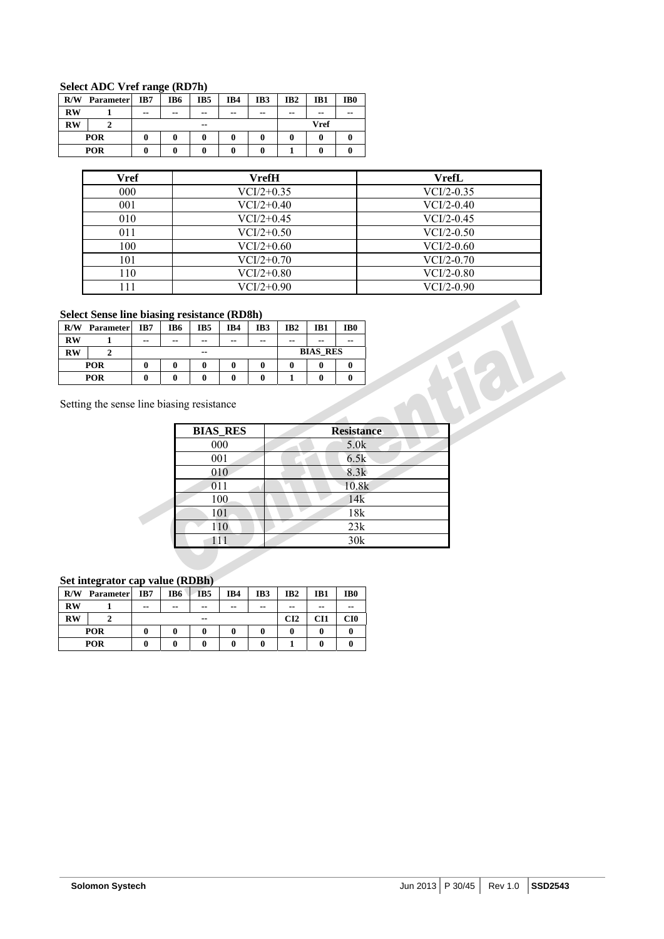#### **Select ADC Vref range (RD7h)**

| R/W       | <b>Parameter</b> | IB7   | IB6           | IB5                          | IB4           | IB3   | IB <sub>2</sub>      | IB1 | IB <sub>0</sub> |
|-----------|------------------|-------|---------------|------------------------------|---------------|-------|----------------------|-----|-----------------|
| <b>RW</b> |                  | $- -$ | $\sim$ $\sim$ | $\sim$ $\sim$                | $\sim$ $\sim$ | $- -$ | --<br>$- -$<br>$- -$ |     |                 |
| <b>RW</b> |                  |       |               | <b>Vref</b><br>$\sim$ $\sim$ |               |       |                      |     |                 |
|           | POR              |       |               |                              |               |       |                      |     |                 |
|           | POR              |       |               | 0                            |               |       |                      |     |                 |

| Vref | <b>VrefH</b> | <b>VrefL</b> |
|------|--------------|--------------|
| 000  | $VCI/2+0.35$ | $VCI/2-0.35$ |
| 001  | $VCI/2+0.40$ | $VCI/2-0.40$ |
| 010  | $VCI/2+0.45$ | $VCI/2-0.45$ |
| 011  | $VCI/2+0.50$ | $VCI/2-0.50$ |
| 100  | $VCI/2+0.60$ | $VCI/2-0.60$ |
| 101  | $VCI/2+0.70$ | $VCI/2-0.70$ |
| 110  | $VCI/2+0.80$ | $VCI/2-0.80$ |
| l 11 | $VCI/2+0.90$ | $VCI/2-0.90$ |

#### **Select Sense line biasing resistance (RD8h)**

| R/W       | <b>Parameter</b> | IB7   | IB6   | IB5   | IB4   | IB3   | IB2   | IB1             | IB <sub>0</sub> |  |  |
|-----------|------------------|-------|-------|-------|-------|-------|-------|-----------------|-----------------|--|--|
| <b>RW</b> |                  | $- -$ | $- -$ | $- -$ | $- -$ | $- -$ | $- -$ | $\sim$ $\sim$   | $- -$           |  |  |
| <b>RW</b> |                  |       |       | $- -$ |       |       |       | <b>BIAS RES</b> |                 |  |  |
|           | <b>POR</b>       |       |       |       |       | 0     |       |                 |                 |  |  |
|           | <b>POR</b>       |       |       |       |       |       |       |                 |                 |  |  |

Setting the sense line biasing resistance

| <b>BIAS_RES</b> | <b>Resistance</b> |
|-----------------|-------------------|
| 000             | 5.0k              |
| 001             | 6.5k              |
| 010             | 8.3k              |
| 011             | 10.8k             |
| 100             | 14k               |
| 101             | 18k               |
| 110             | 23k               |
|                 | 30k               |

#### **Set integrator cap value (RDBh)**

| R/W       | <b>Parameter</b> | IB7           | IB6   | IB <sub>5</sub> | IB4   | IB3   | IB <sub>2</sub> | IB1 | IB0   |
|-----------|------------------|---------------|-------|-----------------|-------|-------|-----------------|-----|-------|
| <b>RW</b> |                  | $\sim$ $\sim$ | $- -$ | $- -$           | $- -$ | $- -$ | $- -$           | --  | $- -$ |
| <b>RW</b> |                  |               |       | $- -$           |       |       | CI2             | CH1 | CI0   |
|           | <b>POR</b>       |               |       |                 |       |       |                 | 0   |       |
|           | POR              |               |       |                 |       |       |                 |     |       |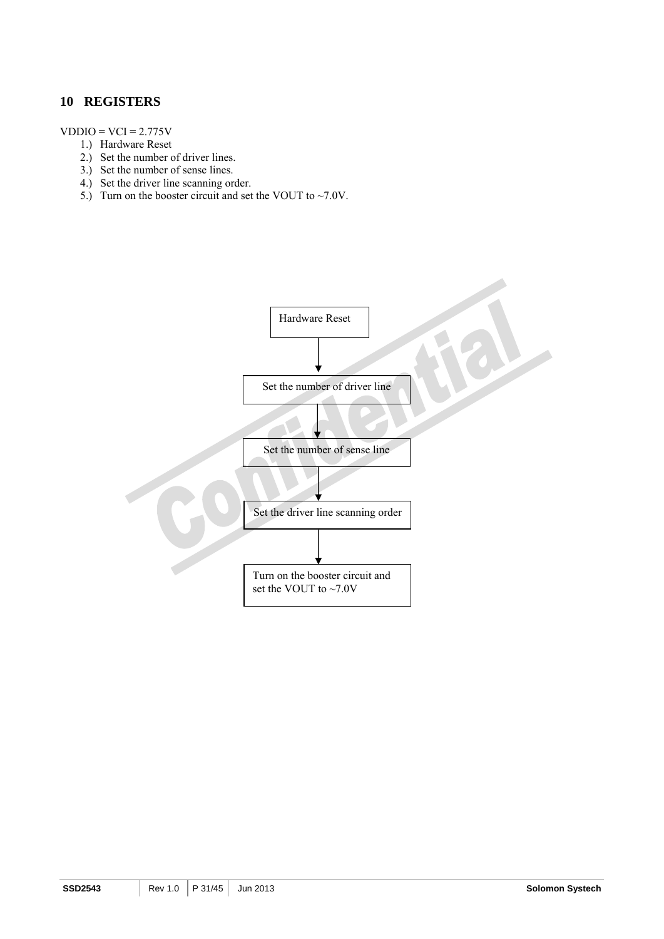### **10 REGISTERS**

#### $VDDIO = VCI = 2.775V$

- 1.) Hardware Reset
- 2.) Set the number of driver lines.
- 3.) Set the number of sense lines.
- 4.) Set the driver line scanning order.
- 5.) Turn on the booster circuit and set the VOUT to  $\sim$  7.0V.

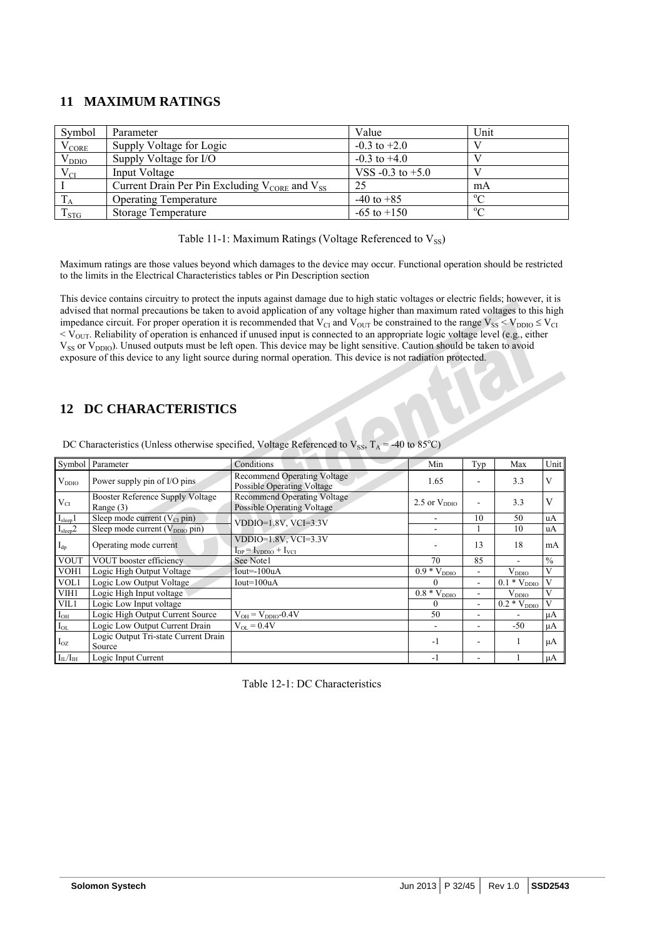## **11 MAXIMUM RATINGS**

| Symbol         | Parameter                                                             | Value                | Unit       |
|----------------|-----------------------------------------------------------------------|----------------------|------------|
| $\rm V_{CORE}$ | Supply Voltage for Logic                                              | $-0.3$ to $+2.0$     |            |
| $V_{DDIO}$     | Supply Voltage for I/O                                                | $-0.3$ to $+4.0$     |            |
| $V_{CI}$       | Input Voltage                                                         | VSS $-0.3$ to $+5.0$ |            |
|                | Current Drain Per Pin Excluding $V_{\text{CORE}}$ and $V_{\text{SS}}$ | -25                  | mA         |
|                | <b>Operating Temperature</b>                                          | $-40$ to $+85$       | $^{\circ}$ |
| $T_{STG}$      | Storage Temperature                                                   | $-65$ to $+150$      | $\Omega$   |

Table 11-1: Maximum Ratings (Voltage Referenced to  $V_{SS}$ )

Maximum ratings are those values beyond which damages to the device may occur. Functional operation should be restricted to the limits in the Electrical Characteristics tables or Pin Description section

This device contains circuitry to protect the inputs against damage due to high static voltages or electric fields; however, it is advised that normal precautions be taken to avoid application of any voltage higher than maximum rated voltages to this high impedance circuit. For proper operation it is recommended that  $V_{CI}$  and  $V_{OUT}$  be constrained to the range  $V_{SS} < V_{DDIO} \leq V_{CI}$  $<$  V<sub>OUT</sub>. Reliability of operation is enhanced if unused input is connected to an appropriate logic voltage level (e.g., either V<sub>SS</sub> or V<sub>DDIO</sub>). Unused outputs must be left open. This device may be light sensitive. Caution should be taken to avoid exposure of this device to any light source during normal operation. This device is not radiation protected.

## **12 DC CHARACTERISTICS**

|                            | Symbol Parameter                               | Conditions                                                              | Min                           | Typ                      | Max              | Unit          |
|----------------------------|------------------------------------------------|-------------------------------------------------------------------------|-------------------------------|--------------------------|------------------|---------------|
| $V_{DDIO}$                 | Power supply pin of I/O pins                   | <b>Recommend Operating Voltage</b><br><b>Possible Operating Voltage</b> | 1.65                          |                          | 3.3              | V             |
| $V_{CI}$                   | Booster Reference Supply Voltage<br>Range (3)  | <b>Recommend Operating Voltage</b><br><b>Possible Operating Voltage</b> | 2.5 or $V_{DDIO}$             |                          | 3.3              | V             |
| I <sub>sleep</sub> 1       | Sleep mode current $(V_{CI}$ pin)              | $VDDIO=1.8V, VCI=3.3V$                                                  |                               | 10                       | 50               | uA            |
| I <sub>sleep</sub> 2       | Sleep mode current (V <sub>DDIO</sub> pin)     |                                                                         |                               |                          | 10               | uA            |
| $\mathbf{I}_{\mathrm{dp}}$ | Operating mode current                         | $VDDIO=1.8V, VCI=3.3V$<br>$I_{DP} = I_{VDDIO} + I_{VCI}$                |                               | 13                       | 18               | mA            |
| <b>VOUT</b>                | VOUT booster efficiency                        | See Notel                                                               | 70                            | 85                       | $\blacksquare$   | $\frac{0}{0}$ |
| VOH1                       | Logic High Output Voltage                      | $Iout=100uA$                                                            | $\overline{0.9}$ * $V_{DDIO}$ | $\overline{\phantom{a}}$ | $V_{DDIO}$       | V             |
| VOL1                       | Logic Low Output Voltage                       | $Iout=100uA$                                                            | $\theta$                      | $\overline{\phantom{a}}$ | $0.1 * V_{DDIO}$ | V             |
| VIH1                       | Logic High Input voltage                       |                                                                         | $\overline{0.8} * V_{DDIO}$   |                          | $V_{DDIO}$       | V             |
| VIL1                       | Logic Low Input voltage                        |                                                                         | $\theta$                      | -                        | $0.2 * V_{DDIO}$ | V             |
| $I_{OH}$                   | Logic High Output Current Source               | $V_{OH} = V_{DDIO} - 0.4V$                                              | 50                            | ۰                        |                  | $\mu A$       |
| $I_{OL}$                   | Logic Low Output Current Drain                 | $V_{OL} = 0.4V$                                                         |                               | $\overline{\phantom{a}}$ | $-50$            | $\mu A$       |
| $I_{OZ}$                   | Logic Output Tri-state Current Drain<br>Source |                                                                         | $-1$                          |                          |                  | μA            |
| $I_{IL}/I_{IH}$            | Logic Input Current                            |                                                                         | $-1$                          |                          |                  | $\mu A$       |

DC Characteristics (Unless otherwise specified, Voltage Referenced to  $V_{SS}$ ,  $T_A = -40$  to  $85^{\circ}$ C)

Table 12-1: DC Characteristics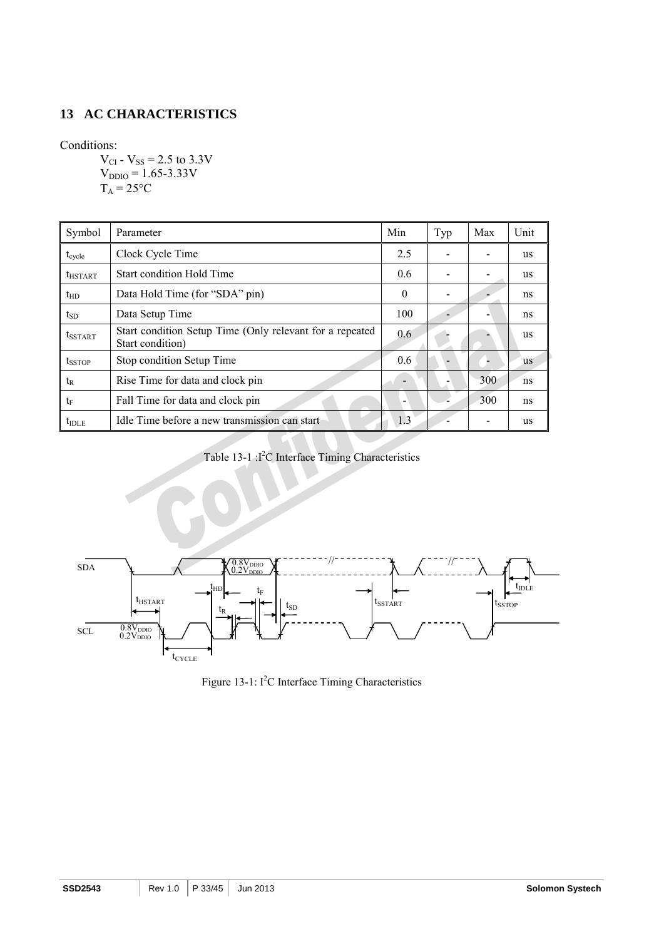## **13 AC CHARACTERISTICS**

Conditions:

 $V_{CI}$  -  $V_{SS}$  = 2.5 to 3.3V  $V_{DDIO} = 1.65 - 3.33 V$  $T_A = 25$ °C

| Symbol              | Parameter                                                                    | Min      | Typ | Max | Unit      |
|---------------------|------------------------------------------------------------------------------|----------|-----|-----|-----------|
| $t_{\text{cycle}}$  | Clock Cycle Time                                                             | 2.5      |     |     | <b>us</b> |
| $t_{\text{HSTAT}}$  | <b>Start condition Hold Time</b>                                             | 0.6      |     |     | us        |
| $t_{HD}$            | Data Hold Time (for "SDA" pin)                                               | $\theta$ |     |     | ns        |
| $t_{SD}$            | Data Setup Time                                                              | 100      |     |     | ns        |
| t <sub>SSTART</sub> | Start condition Setup Time (Only relevant for a repeated<br>Start condition) |          |     |     | us        |
| $t_{SSTOP}$         | Stop condition Setup Time                                                    |          |     |     | us        |
| $t_{R}$             | Rise Time for data and clock pin                                             |          |     | 300 | ns        |
| $t_{\rm F}$         | Fall Time for data and clock pin                                             | ۰        |     | 300 | ns        |
| $t_{\text{IDLE}}$   | Idle Time before a new transmission can start                                | 1.3      |     |     | us        |

Table 13-1 :<sup>12</sup>C Interface Timing Characteristics



Figure 13-1:  $I^2C$  Interface Timing Characteristics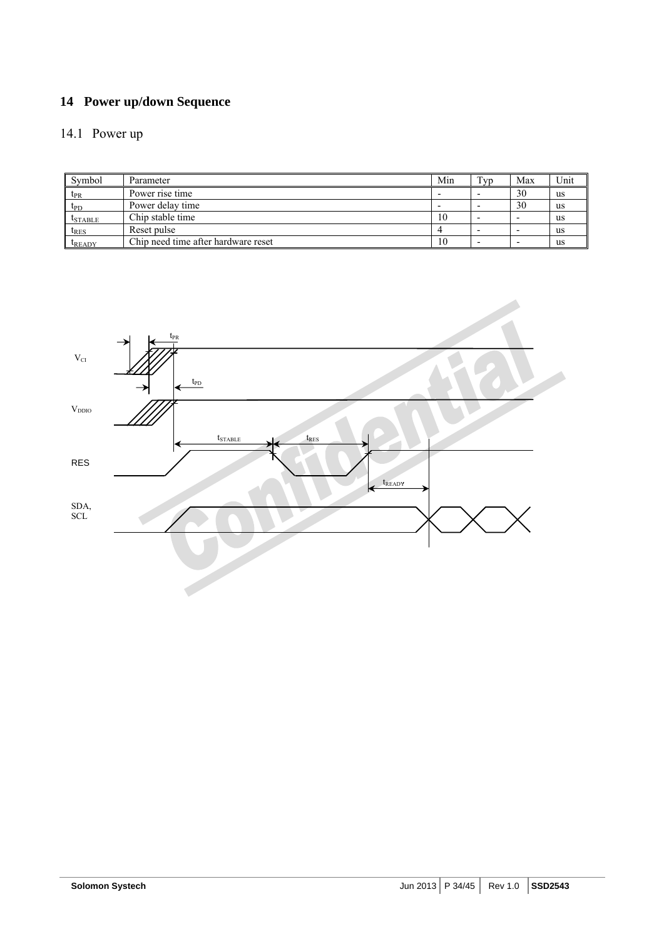## **14 Power up/down Sequence**

## 14.1 Power up

| Symbol          | Parameter                           | Min | Typ | Max | Unit      |
|-----------------|-------------------------------------|-----|-----|-----|-----------|
| $t_{PR}$        | Power rise time                     |     |     | 30  | us        |
| $t_{\text{PD}}$ | Power delay time                    |     |     | 30  | us        |
| $t_{STABLE}$    | Chip stable time                    | 10  |     |     | us        |
| $t_{RES}$       | Reset pulse                         |     |     |     | <b>us</b> |
| $t_{\rm READV}$ | Chip need time after hardware reset | 10  |     |     | us        |

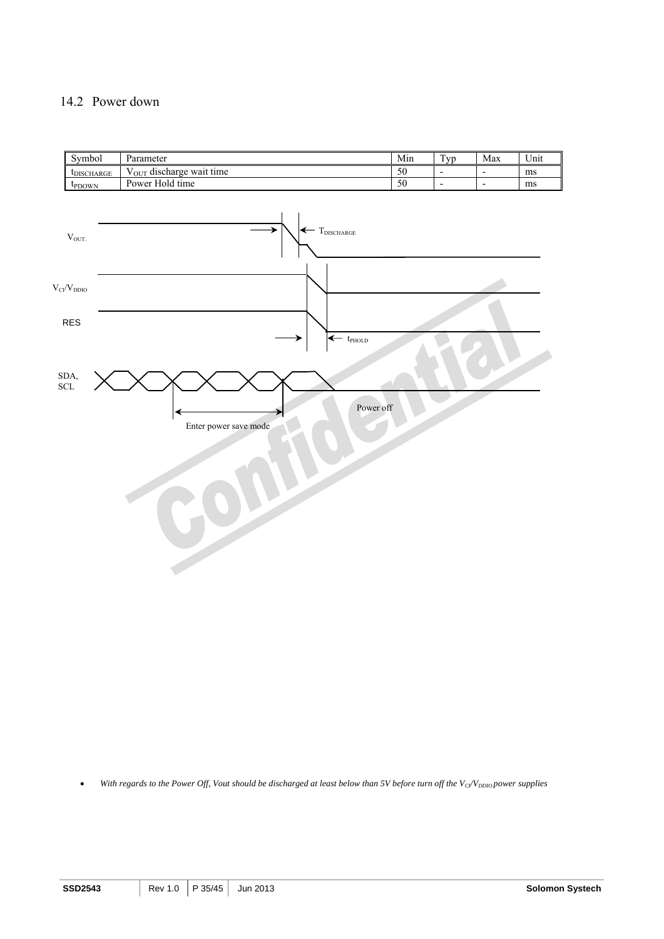#### 14.2 Power down



• With regards to the Power Off, Vout should be discharged at least below than 5V before turn off the V<sub>CI</sub>/V<sub>DDIO</sub> power supplies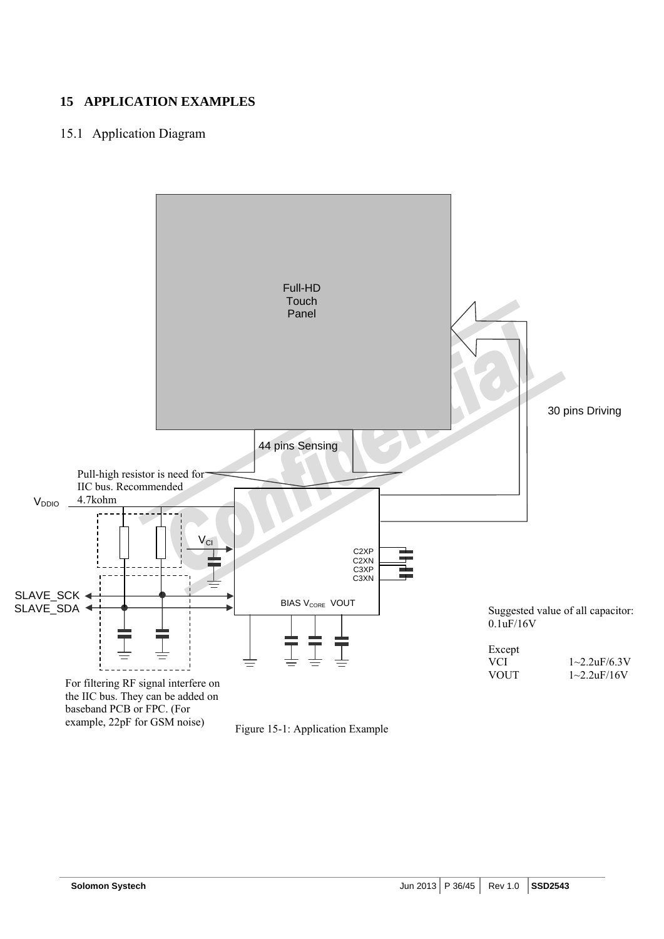## **15 APPLICATION EXAMPLES**

## 15.1 Application Diagram



Figure 15-1: Application Example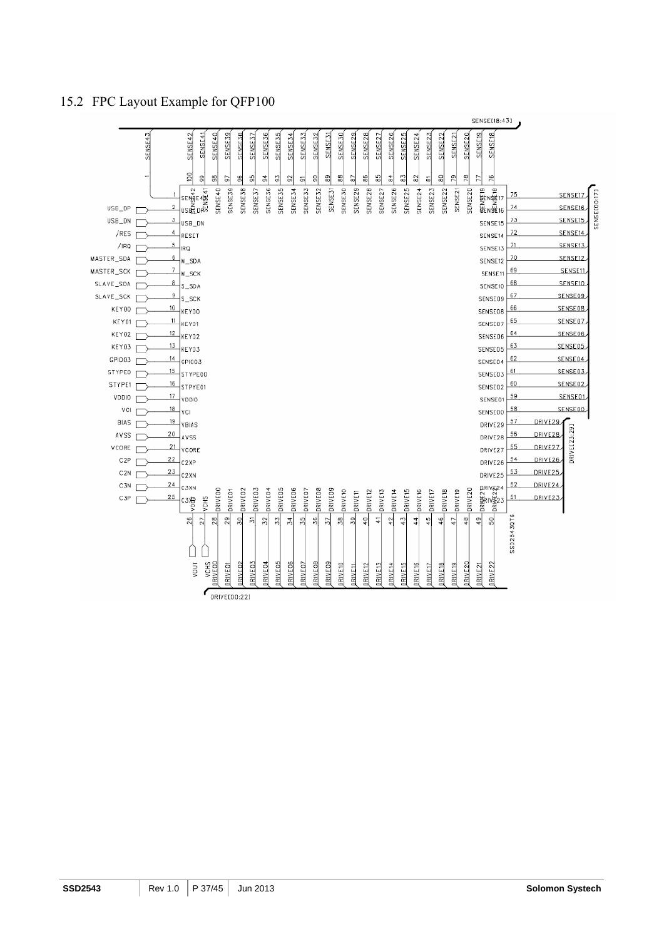### 15.2 FPC Layout Example for QFP100



 $RIVE100:221$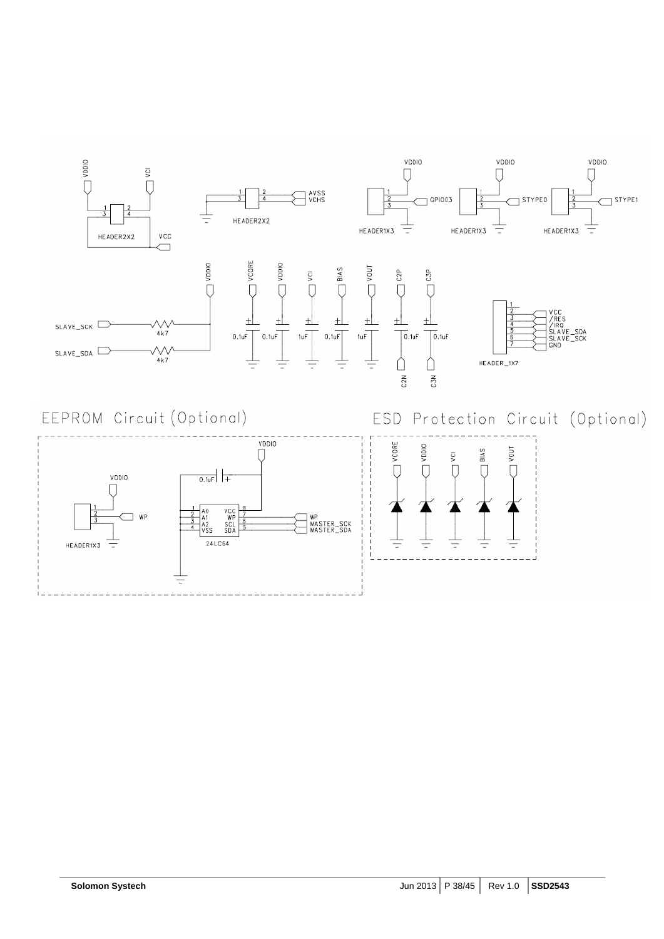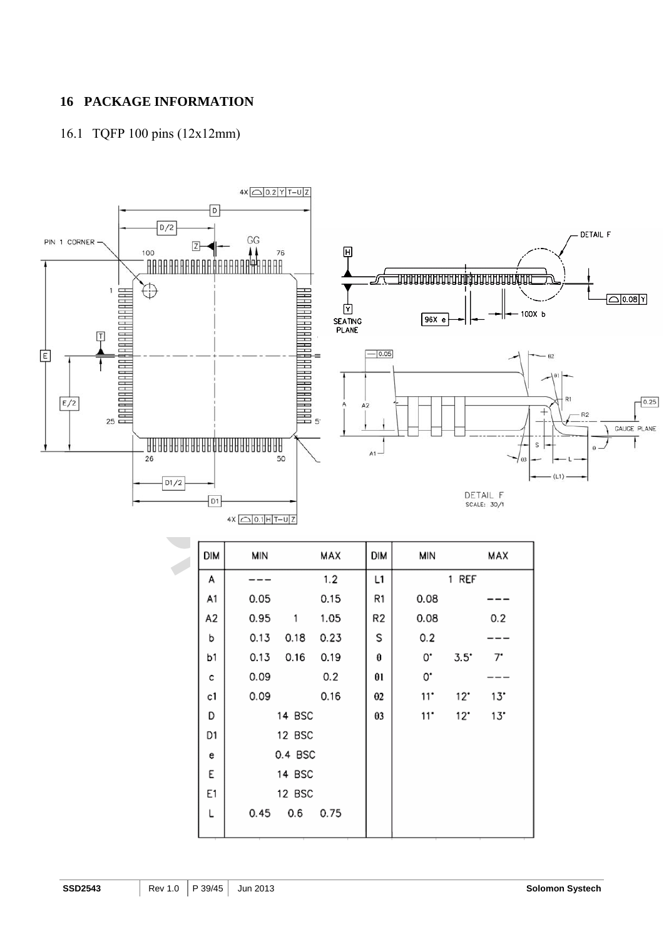## **16 PACKAGE INFORMATION**

## 16.1 TQFP 100 pins (12x12mm)



| UIM | <b>IAILLA</b> |        | <b>MAA</b> | UIM            | צווואו |              | <b>MA</b> |  |
|-----|---------------|--------|------------|----------------|--------|--------------|-----------|--|
| A   |               |        | 1.2        | L1             |        | 1 REF        |           |  |
| A1  | 0.05          |        | 0.15       | R1             | 0.08   |              |           |  |
| A2  | 0.95          | 1      | 1.05       | R <sub>2</sub> | 0.08   |              | 0.2       |  |
| b   | 0.13          | 0.18   | 0.23       | S              | 0.2    |              |           |  |
| b1  | 0.13          | 0.16   | 0.19       | θ              | 0.     | $3.5^\circ$  | 7.        |  |
| c   | 0.09          |        | 0.2        | θl             | 0.     |              |           |  |
| c1  | 0.09          |        | 0.16       | $\theta$ 2     | 11     | $12^{\circ}$ | 13"       |  |
| D   |               | 14 BSC |            | θ3             | 11     | $12^{\circ}$ | 13"       |  |
| D1  | 12 BSC        |        |            |                |        |              |           |  |
| е   | 0.4 BSC       |        |            |                |        |              |           |  |
| E   |               | 14 BSC |            |                |        |              |           |  |
| Ε1  | 12 BSC        |        |            |                |        |              |           |  |
| Г   | 0.45          | 0.6    | 0.75       |                |        |              |           |  |
|     |               |        |            |                |        |              |           |  |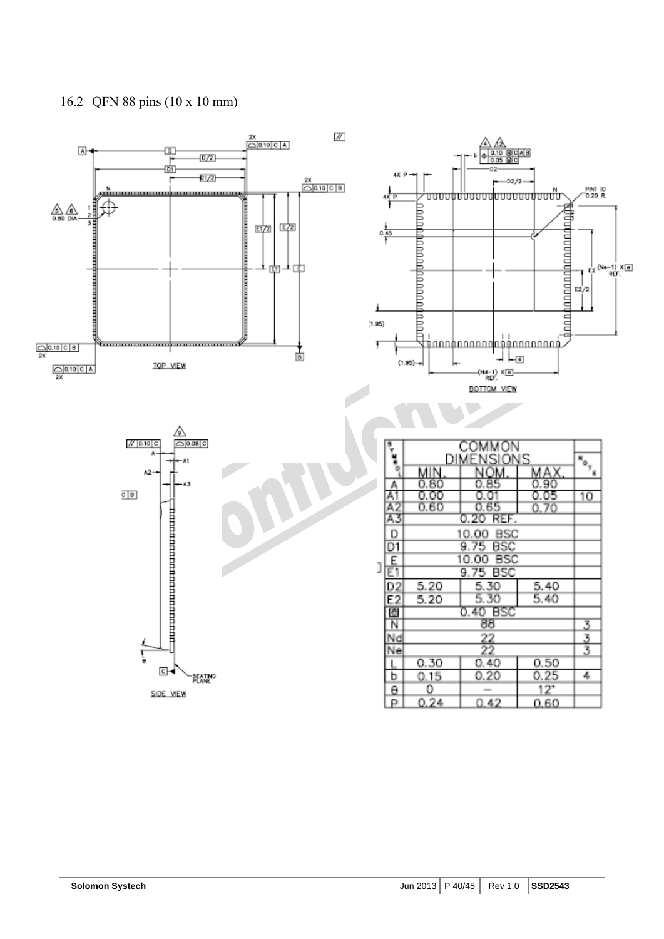## 16.2 QFN 88 pins (10 x 10 mm)

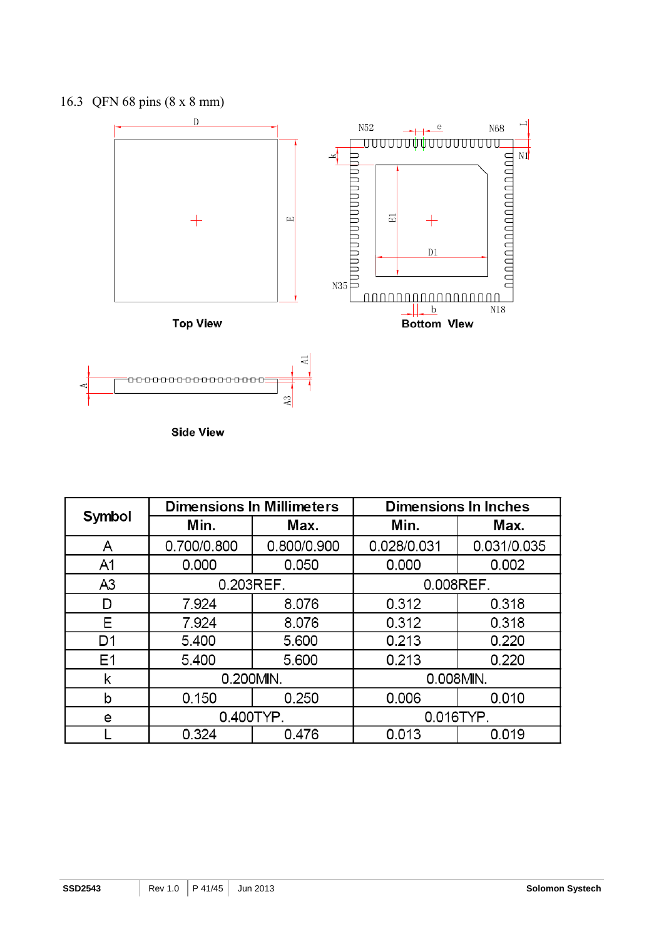



**Side View** 

|                |             | <b>Dimensions In Millimeters</b> | <b>Dimensions In Inches</b> |             |  |
|----------------|-------------|----------------------------------|-----------------------------|-------------|--|
| Symbol         | Min.        | Max.                             | Min.                        | Max.        |  |
| A              | 0.700/0.800 | 0.800/0.900                      | 0.028/0.031                 | 0.031/0.035 |  |
| A <sub>1</sub> | 0.000       | 0.050                            | 0.000                       | 0.002       |  |
| A <sub>3</sub> | 0.203REF.   |                                  | 0.008REF.                   |             |  |
| D              | 7.924       | 8.076                            | 0.312                       | 0.318       |  |
| Е              | 7.924       | 8.076                            | 0.312                       | 0.318       |  |
| D <sub>1</sub> | 5.400       | 5.600                            | 0.213                       | 0.220       |  |
| E1             | 5.400       | 5.600                            | 0.213                       | 0.220       |  |
| k              | 0.200MIN.   |                                  | 0.008MIN.                   |             |  |
| b              | 0.150       | 0.250                            | 0.006                       | 0.010       |  |
| e              | 0.400TYP.   |                                  | 0.016TYP.                   |             |  |
|                | 0.324       | 0.476                            | 0.013                       | 0.019       |  |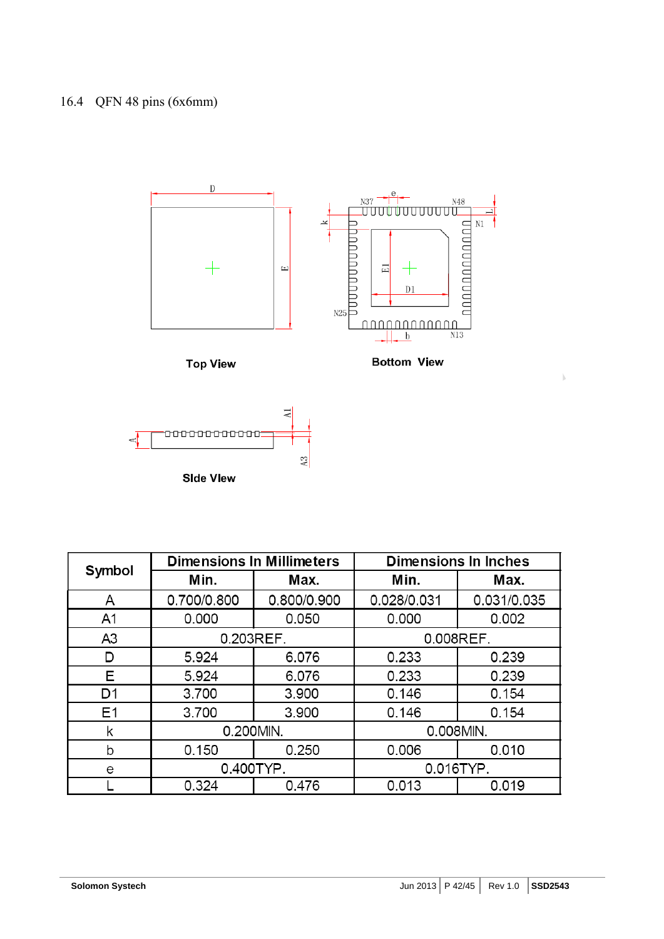



|                |             | <b>Dimensions In Millimeters</b> | <b>Dimensions In Inches</b> |             |  |
|----------------|-------------|----------------------------------|-----------------------------|-------------|--|
| Symbol         | Min.        | Max.                             | Min.                        | Max.        |  |
| A              | 0.700/0.800 | 0.800/0.900                      | 0.028/0.031                 | 0.031/0.035 |  |
| A <sub>1</sub> | 0.000       | 0.050                            | 0.000                       | 0.002       |  |
| A <sub>3</sub> | 0.203REF.   |                                  | 0.008REF.                   |             |  |
| D              | 5.924       | 6.076                            | 0.233                       | 0.239       |  |
| Е              | 5.924       | 6.076                            | 0.233                       | 0.239       |  |
| D <sub>1</sub> | 3.700       |                                  | 0.146                       | 0.154       |  |
| E <sub>1</sub> | 3.700       |                                  | 0.146                       | 0.154       |  |
| k              | 0.200MIN.   |                                  | 0.008MIN.                   |             |  |
| b              | 0.150       | 0.250                            | 0.006                       | 0.010       |  |
| е              | 0.400TYP.   |                                  | 0.016TYP.                   |             |  |
|                | 0.324       | 0.476                            | 0.013                       | 0.019       |  |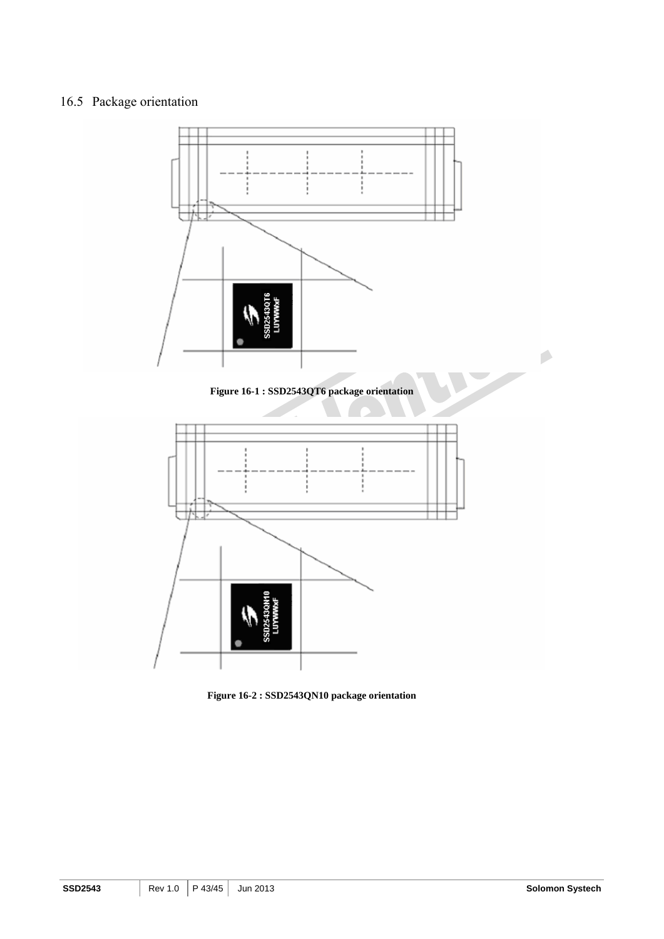## 16.5 Package orientation



**Figure 16-2 : SSD2543QN10 package orientation**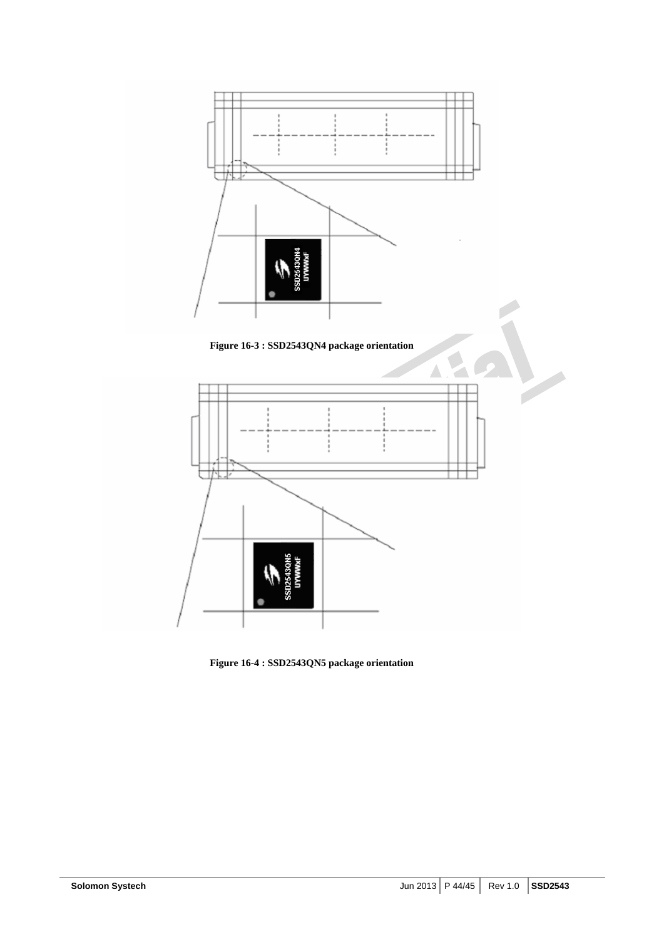

**Figure 16-3 : SSD2543QN4 package orientation** 



**Figure 16-4 : SSD2543QN5 package orientation**